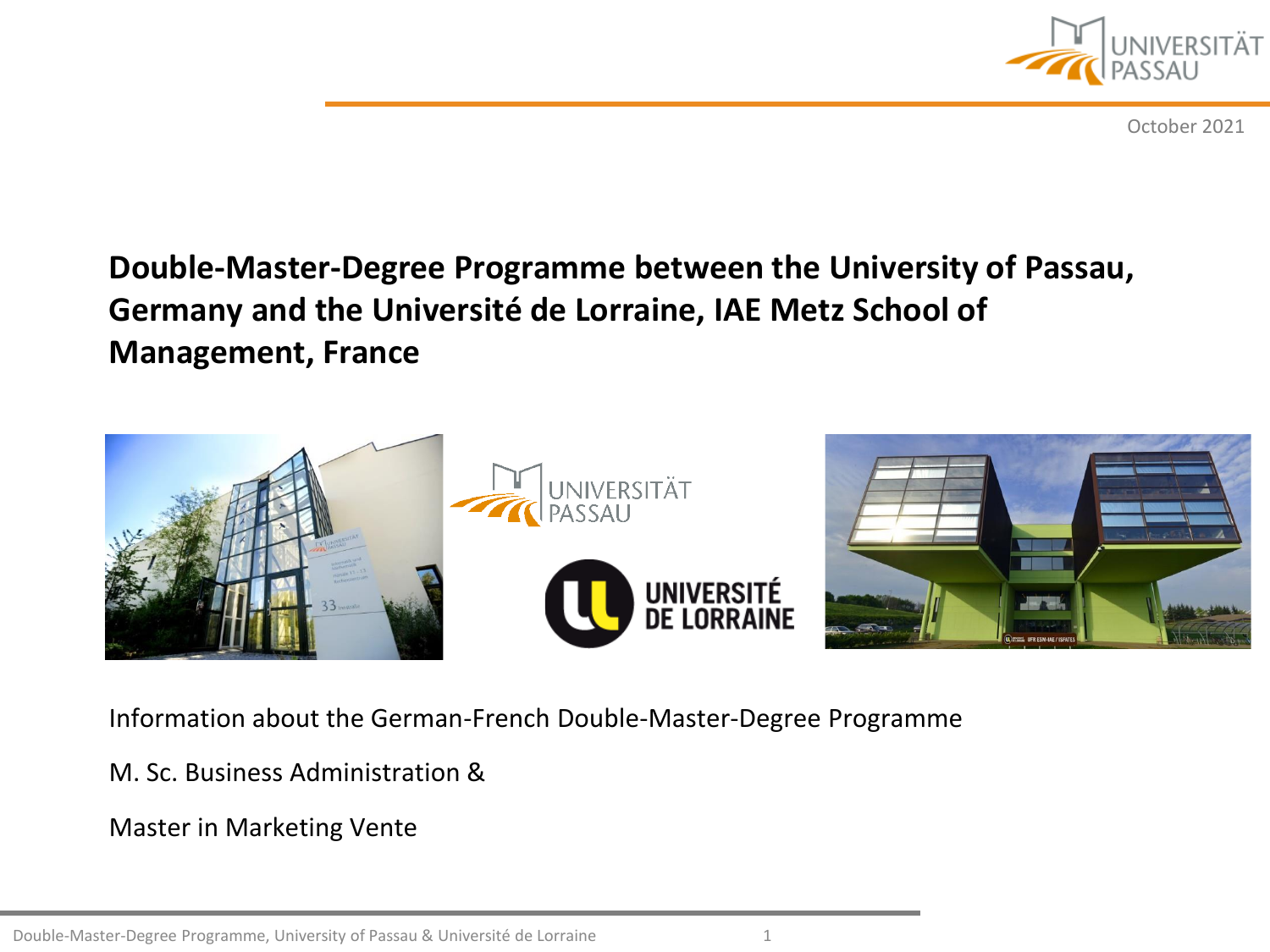

October 2021

# **Double-Master-Degree Programme between the University of Passau, Germany and the Université de Lorraine, IAE Metz School of Management, France**



Information about the German-French Double-Master-Degree Programme

M. Sc. Business Administration &

Master in Marketing Vente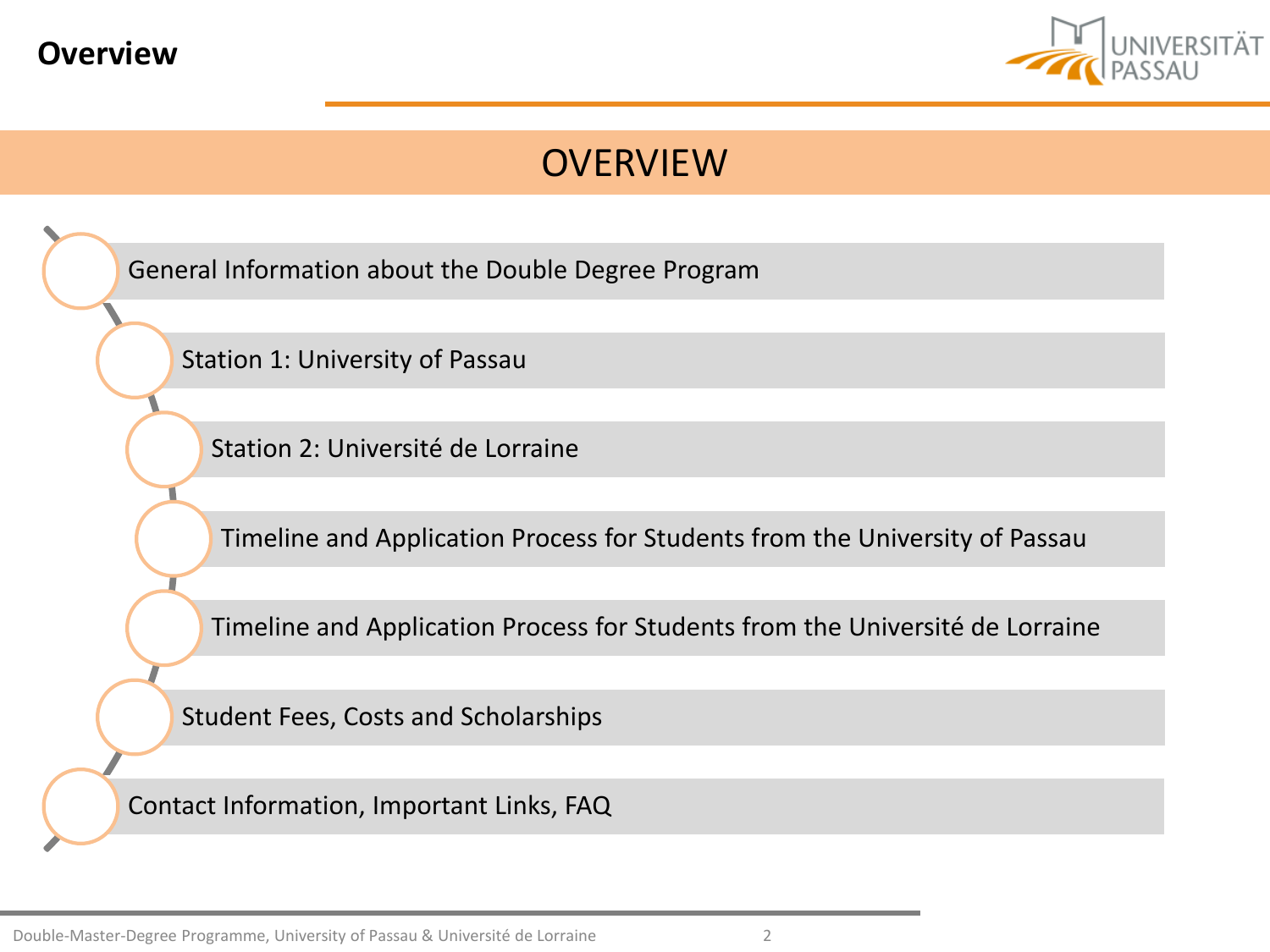<span id="page-1-0"></span>



[General Information about](#page-2-0) the Double Degree Program

[Station 1: University of](#page-6-0) Passau

[Station 2: Université](#page-12-0) de Lorraine

[Timeline and](#page-21-0) Application Process for Students from the University of Passau

[Timeline and](#page-27-0) Application Process for Students from the Université de Lorraine

[Student Fees, Costs](#page-30-0) and Scholarships

[Contact Information, Important](#page-33-0) Links, FAQ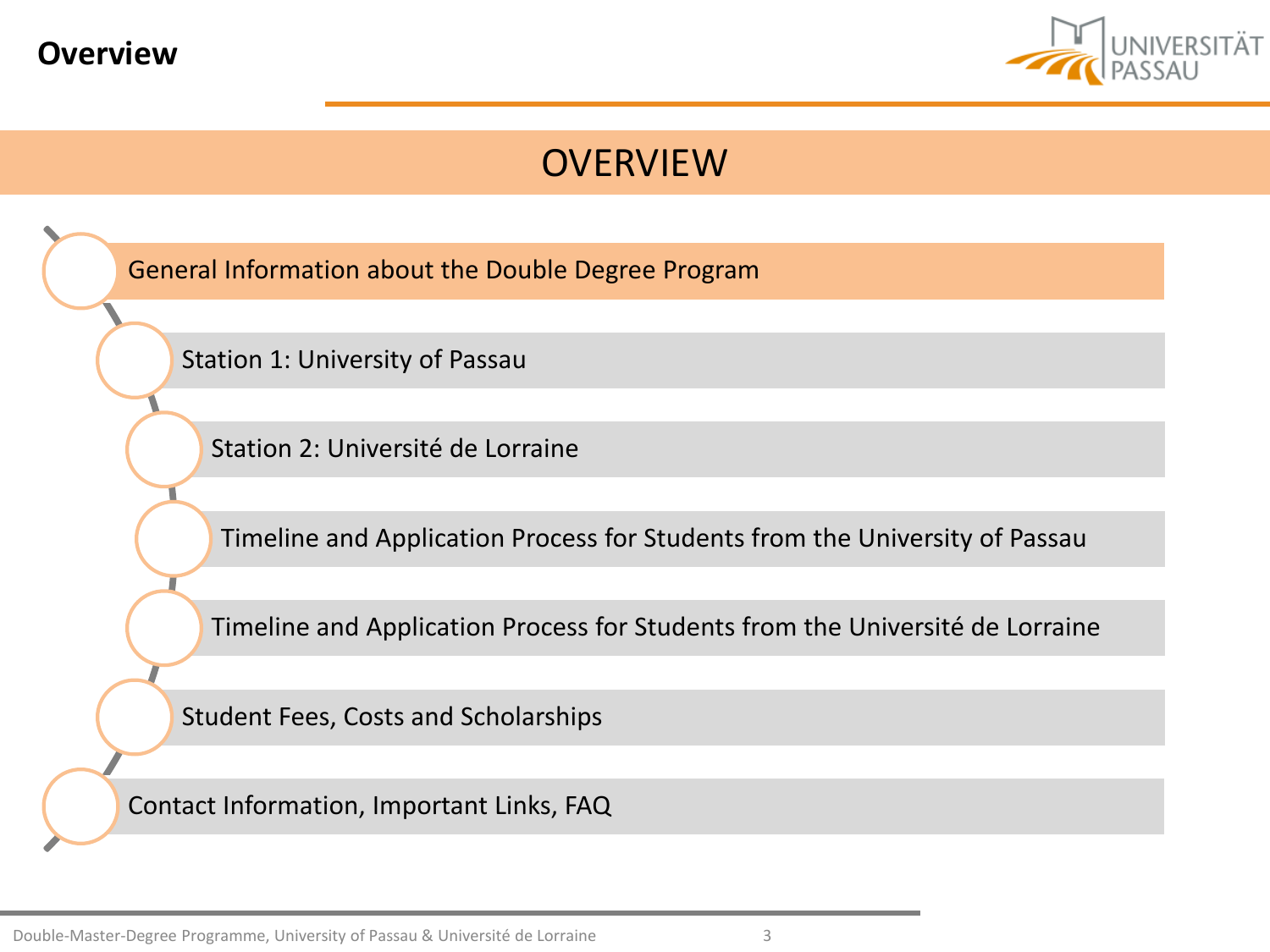<span id="page-2-0"></span>



[General Information about](#page-2-0) the Double Degree Program

[Station 1: University of](#page-6-0) Passau

[Station 2: Université](#page-12-0) de Lorraine

[Timeline and](#page-21-0) Application Process for Students from the University of Passau

[Timeline and](#page-27-0) Application Process for Students from the Université de Lorraine

[Student Fees, Costs](#page-30-0) and Scholarships

[Contact Information, Important](#page-33-0) Links, FAQ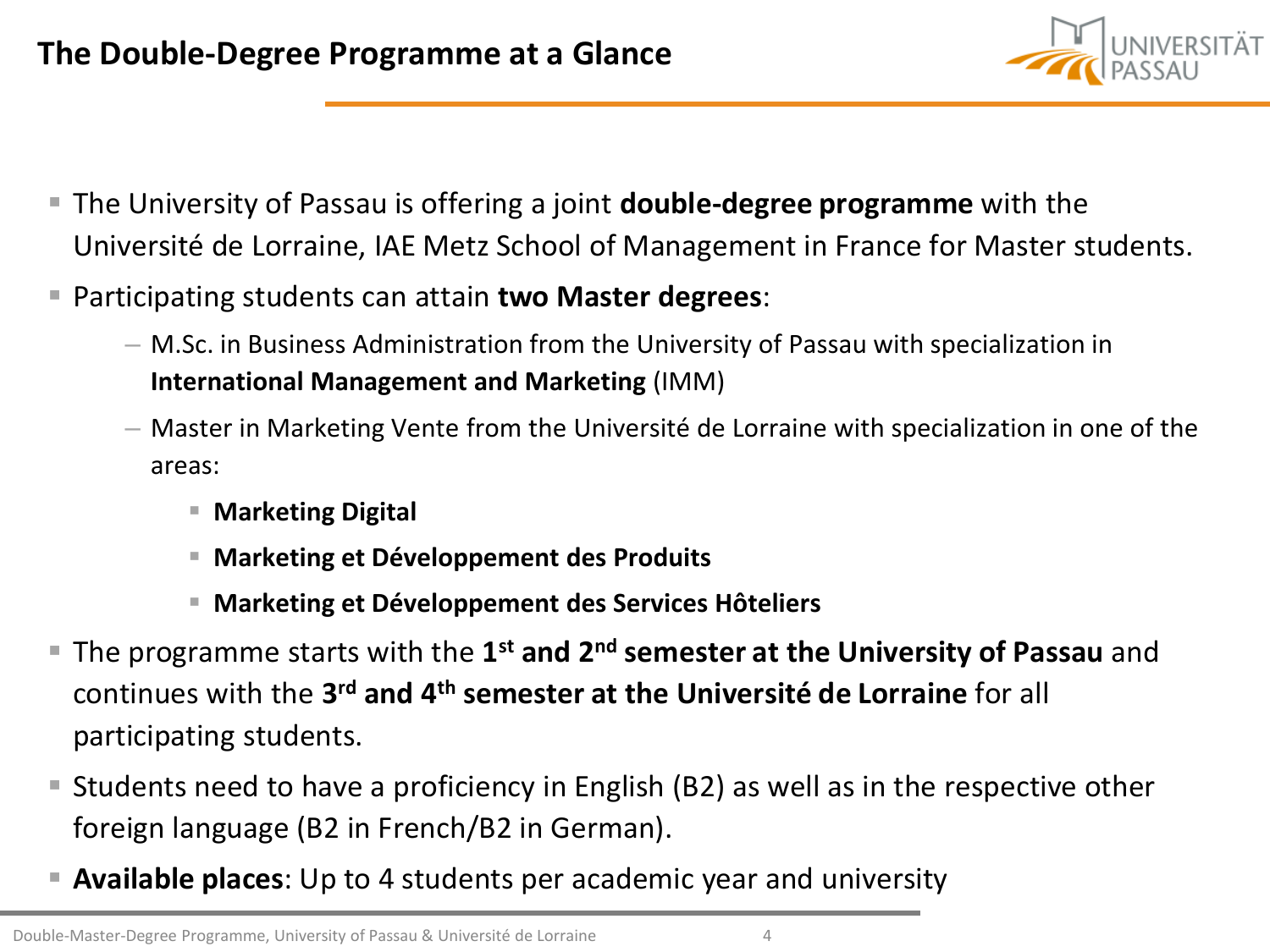

- The University of Passau is offering a joint **double-degree programme** with the Université de Lorraine, IAE Metz School of Management in France for Master students.
- Participating students can attain **two Master degrees**:
	- M.Sc. in Business Administration from the University of Passau with specialization in **International Management and Marketing** (IMM)
	- Master in Marketing Vente from the Université de Lorraine with specialization in one of the areas:
		- **Marketing Digital**
		- **Marketing et Développement des Produits**
		- **Marketing et Développement des Services Hôteliers**
- The programme starts with the 1<sup>st</sup> and 2<sup>nd</sup> semester at the University of Passau and continues with the **3 rd and 4th semester at the Université de Lorraine** for all participating students.
- Students need to have a proficiency in English (B2) as well as in the respective other foreign language (B2 in French/B2 in German).
- **Available places**: Up to 4 students per academic year and university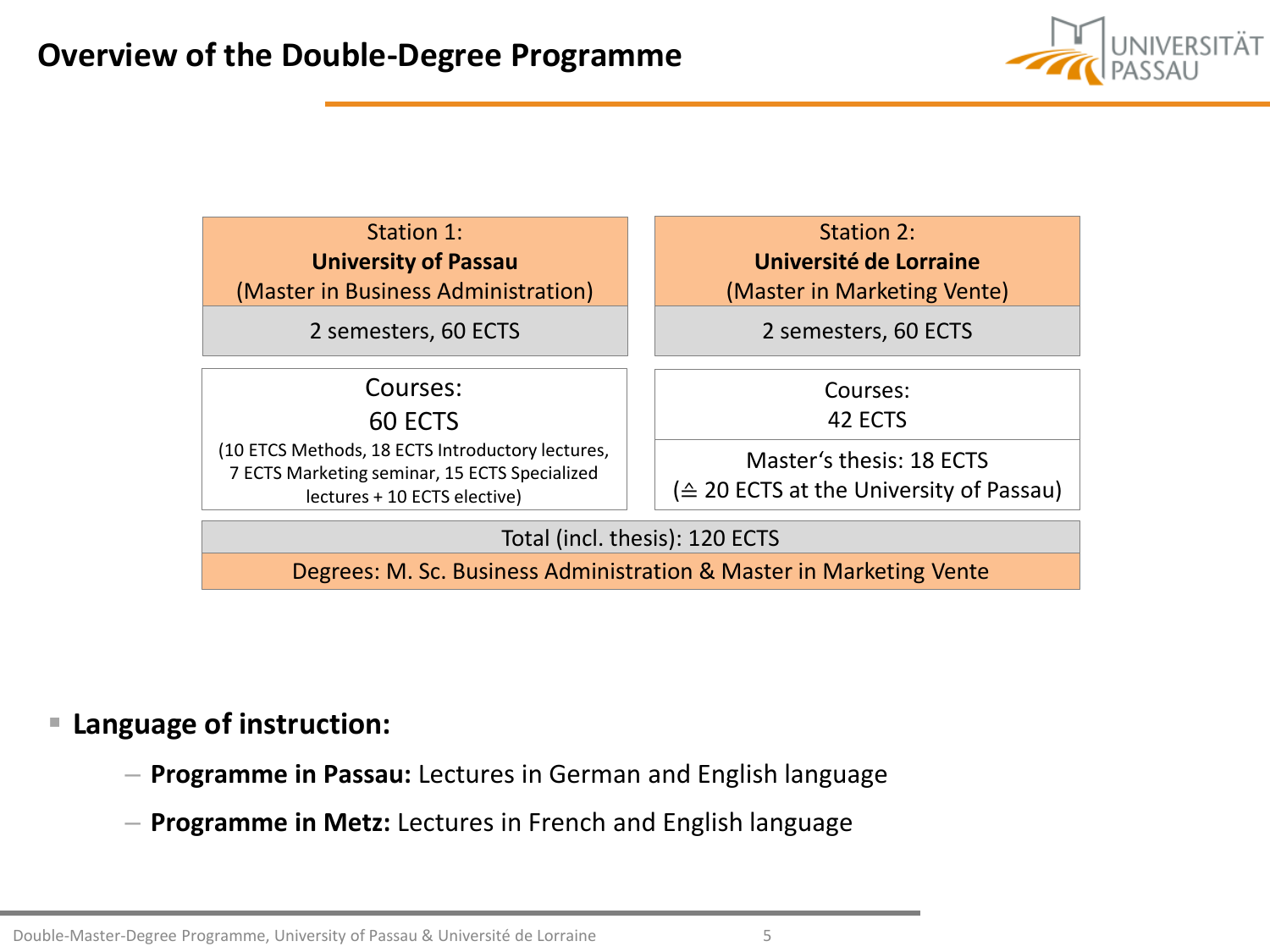



### **Language of instruction:**

- **Programme in Passau:** Lectures in German and English language
- **Programme in Metz:** Lectures in French and English language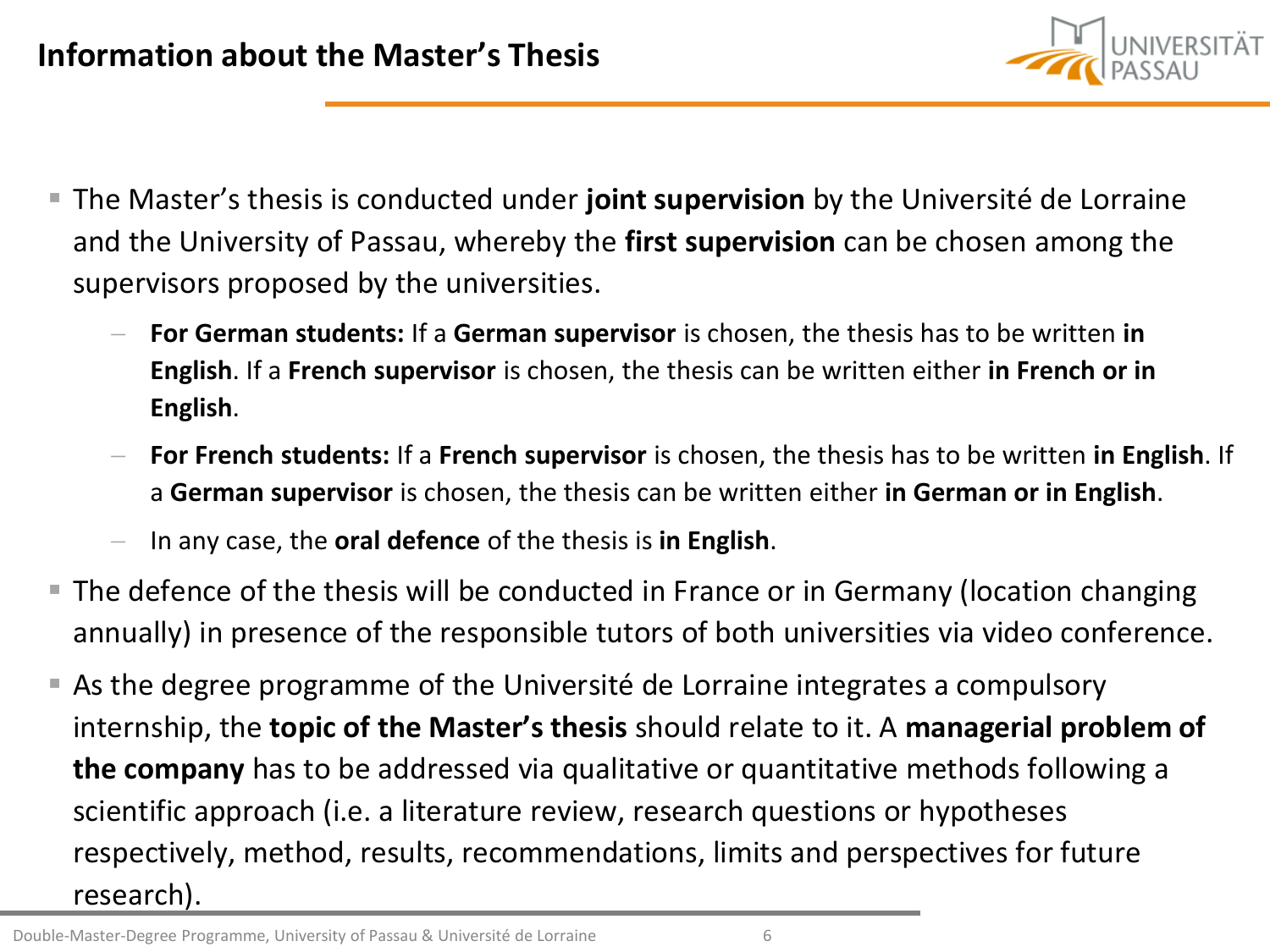

- **The Master's thesis is conducted under joint supervision** by the Université de Lorraine and the University of Passau, whereby the **first supervision** can be chosen among the supervisors proposed by the universities.
	- − **For German students:** If a **German supervisor** is chosen, the thesis has to be written **in English**. If a **French supervisor** is chosen, the thesis can be written either **in French or in English**.
	- − **For French students:** If a **French supervisor** is chosen, the thesis has to be written **in English**. If a **German supervisor** is chosen, the thesis can be written either **in German or in English**.
	- − In any case, the **oral defence** of the thesis is **in English**.
- The defence of the thesis will be conducted in France or in Germany (location changing annually) in presence of the responsible tutors of both universities via video conference.
- As the degree programme of the Université de Lorraine integrates a compulsory internship, the **topic of the Master's thesis** should relate to it. A **managerial problem of the company** has to be addressed via qualitative or quantitative methods following a scientific approach (i.e. a literature review, research questions or hypotheses respectively, method, results, recommendations, limits and perspectives for future research).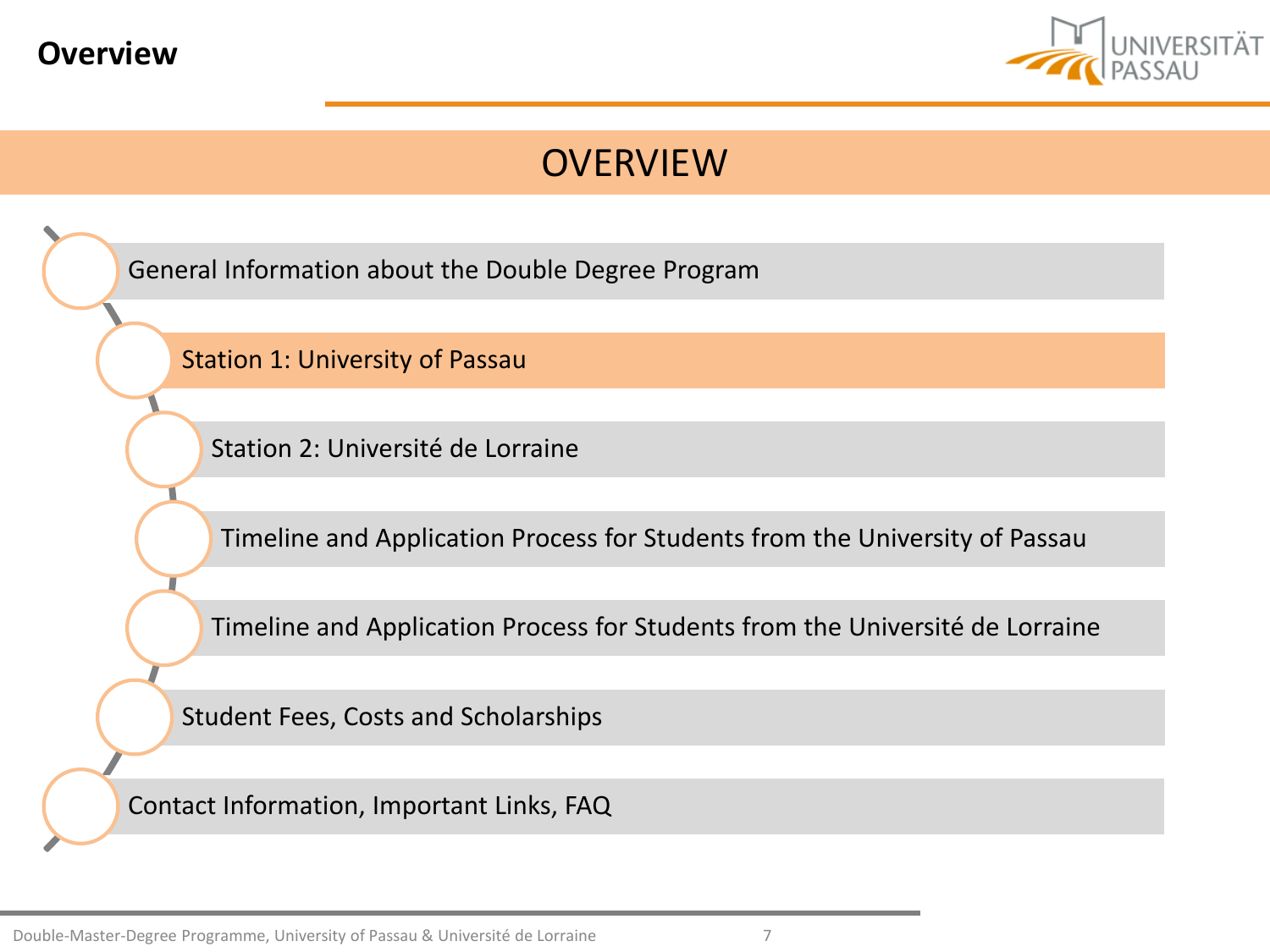<span id="page-6-0"></span>



[General Information about](#page-2-0) the Double Degree Program [Station 1: University of](#page-6-0) Passau [Station 2: Université](#page-12-0) de Lorraine [Timeline and](#page-21-0) Application Process for Students from the University of Passau [Timeline and](#page-27-0) Application Process for Students from the Université de Lorraine [Student Fees, Costs](#page-30-0) and Scholarships [Contact Information, Important](#page-33-0) Links, FAQ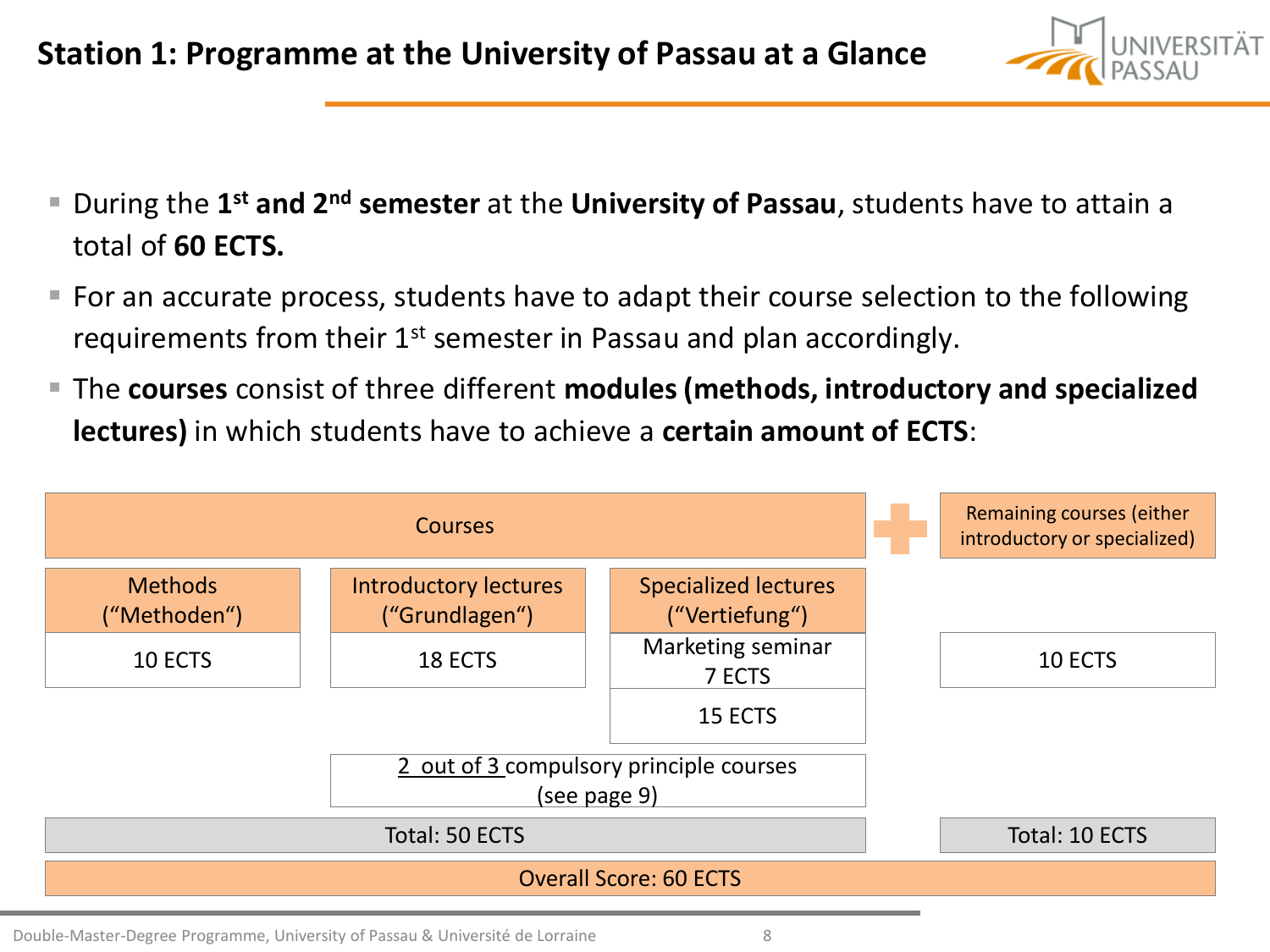- During the 1<sup>st</sup> and 2<sup>nd</sup> semester at the University of Passau, students have to attain a total of **60 ECTS.**
- For an accurate process, students have to adapt their course selection to the following requirements from their  $1<sup>st</sup>$  semester in Passau and plan accordingly.
- The **courses** consist of three different **modules (methods, introductory and specialized lectures)** in which students have to achieve a **certain amount of ECTS**:

|                                |                                                | Remaining courses (either<br>introductory or specialized) |  |  |
|--------------------------------|------------------------------------------------|-----------------------------------------------------------|--|--|
| <b>Methods</b><br>("Methoden") | <b>Introductory lectures</b><br>("Grundlagen") | <b>Specialized lectures</b><br>("Vertiefung")             |  |  |
| 10 ECTS                        | Marketing seminar<br>18 ECTS<br>7 ECTS         |                                                           |  |  |
|                                |                                                |                                                           |  |  |
|                                |                                                |                                                           |  |  |
|                                |                                                | Total: 10 ECTS                                            |  |  |
|                                |                                                |                                                           |  |  |

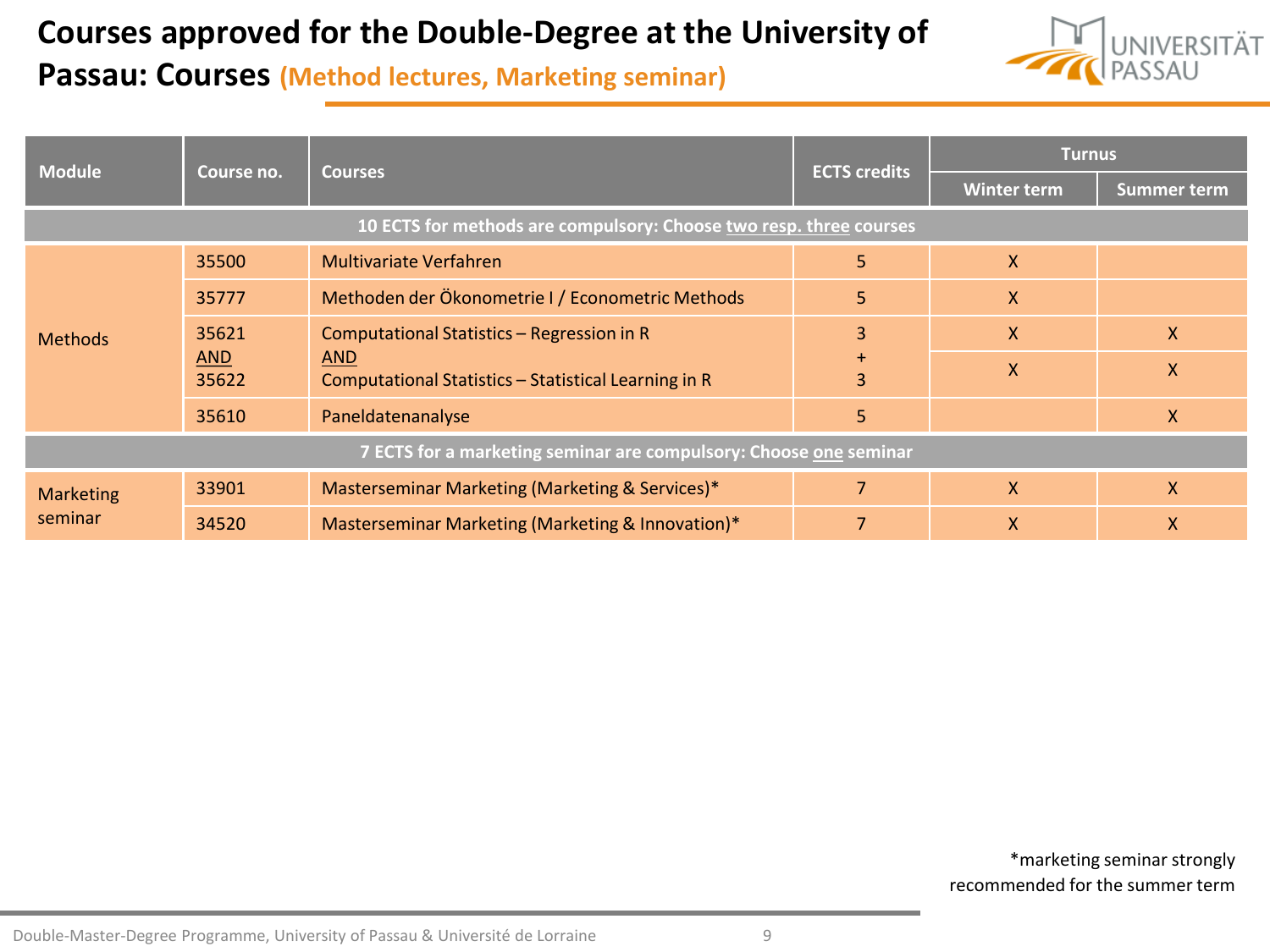### **Courses approved for the Double-Degree at the University of**



### **Passau: Courses (Method lectures, Marketing seminar)**

|                                                                   |                     |                                                                    |                     | <b>Turnus</b>      |                    |
|-------------------------------------------------------------------|---------------------|--------------------------------------------------------------------|---------------------|--------------------|--------------------|
| <b>Module</b>                                                     | Course no.          | <b>Courses</b>                                                     | <b>ECTS</b> credits | <b>Winter term</b> | <b>Summer term</b> |
|                                                                   |                     | 10 ECTS for methods are compulsory: Choose two resp. three courses |                     |                    |                    |
|                                                                   | 35500               | <b>Multivariate Verfahren</b>                                      | 5                   | X                  |                    |
|                                                                   | 35777               | Methoden der Ökonometrie I / Econometric Methods                   | 5                   | X                  |                    |
| 35621<br><b>Methods</b>                                           |                     | Computational Statistics - Regression in R                         | 3                   | X                  | X.                 |
|                                                                   | <b>AND</b><br>35622 | <b>AND</b><br>Computational Statistics - Statistical Learning in R | $+$<br>3            | X                  | $\mathsf{X}$       |
|                                                                   | 35610               | Paneldatenanalyse                                                  | 5                   |                    | $\mathsf{X}$       |
| 7 ECTS for a marketing seminar are compulsory: Choose one seminar |                     |                                                                    |                     |                    |                    |
| <b>Marketing</b>                                                  | 33901               | Masterseminar Marketing (Marketing & Services)*                    |                     | X                  | X.                 |
| seminar                                                           | 34520               | Masterseminar Marketing (Marketing & Innovation)*                  |                     | X                  | X                  |

\*marketing seminar strongly recommended for the summer term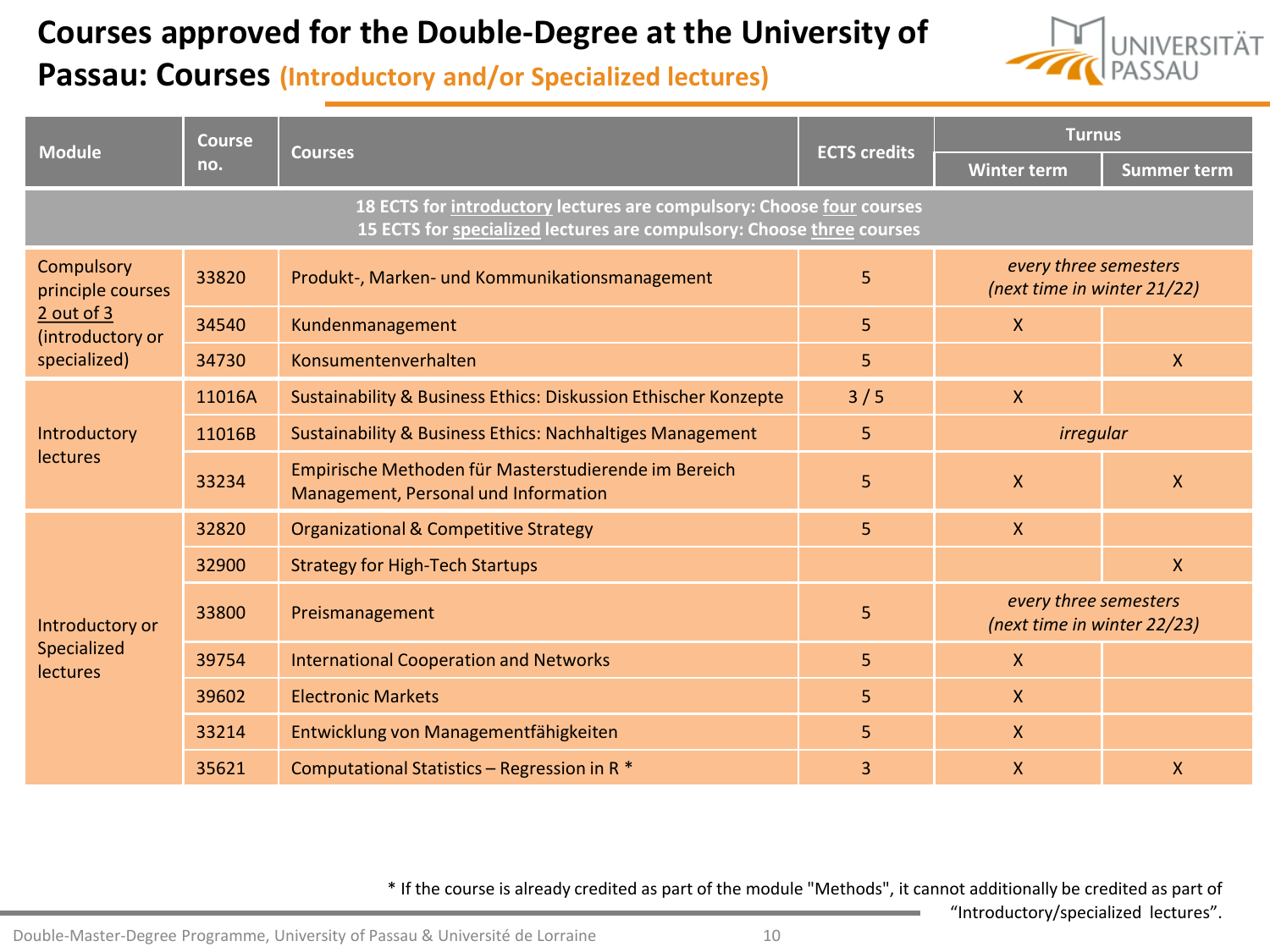### **Courses approved for the Double-Degree at the University of**



"Introductory/specialized lectures".

### **Passau: Courses (Introductory and/or Specialized lectures)**

| <b>Module</b>                            | <b>Course</b> |                                                                                                                                                |                     | <b>Turnus</b>                                        |                    |
|------------------------------------------|---------------|------------------------------------------------------------------------------------------------------------------------------------------------|---------------------|------------------------------------------------------|--------------------|
|                                          | no.           | <b>Courses</b>                                                                                                                                 | <b>ECTS credits</b> | <b>Winter term</b>                                   | <b>Summer term</b> |
|                                          |               | 18 ECTS for introductory lectures are compulsory: Choose four courses<br>15 ECTS for specialized lectures are compulsory: Choose three courses |                     |                                                      |                    |
| Compulsory<br>33820<br>principle courses |               | Produkt-, Marken- und Kommunikationsmanagement                                                                                                 | 5                   | every three semesters<br>(next time in winter 21/22) |                    |
| $2$ out of $3$<br>(introductory or       | 34540         | Kundenmanagement                                                                                                                               | 5                   | $\mathsf{X}$                                         |                    |
| specialized)                             | 34730         | Konsumentenverhalten                                                                                                                           | 5                   |                                                      | $\mathsf{X}$       |
|                                          | 11016A        | Sustainability & Business Ethics: Diskussion Ethischer Konzepte                                                                                | 3/5                 | $\mathsf{X}$                                         |                    |
| Introductory                             | 11016B        | Sustainability & Business Ethics: Nachhaltiges Management                                                                                      | 5                   | <i>irregular</i>                                     |                    |
| <b>lectures</b>                          | 33234         | Empirische Methoden für Masterstudierende im Bereich<br>Management, Personal und Information                                                   | 5                   | $\boldsymbol{X}$                                     | X                  |
|                                          | 32820         | <b>Organizational &amp; Competitive Strategy</b>                                                                                               | 5                   | $\mathsf{X}$                                         |                    |
|                                          | 32900         | <b>Strategy for High-Tech Startups</b>                                                                                                         |                     |                                                      | X                  |
| Introductory or                          | 33800         | Preismanagement                                                                                                                                | 5                   | every three semesters<br>(next time in winter 22/23) |                    |
| Specialized<br><b>lectures</b>           | 39754         | <b>International Cooperation and Networks</b>                                                                                                  | 5                   | $\mathsf{X}$                                         |                    |
|                                          | 39602         | <b>Electronic Markets</b>                                                                                                                      | 5                   | $\mathsf{X}$                                         |                    |
|                                          | 33214         | Entwicklung von Managementfähigkeiten                                                                                                          | 5                   | $\mathsf{X}$                                         |                    |
|                                          | 35621         | Computational Statistics - Regression in R *                                                                                                   | 3                   | $\mathsf{X}$                                         | X                  |

\* If the course is already credited as part of the module "Methods", it cannot additionally be credited as part of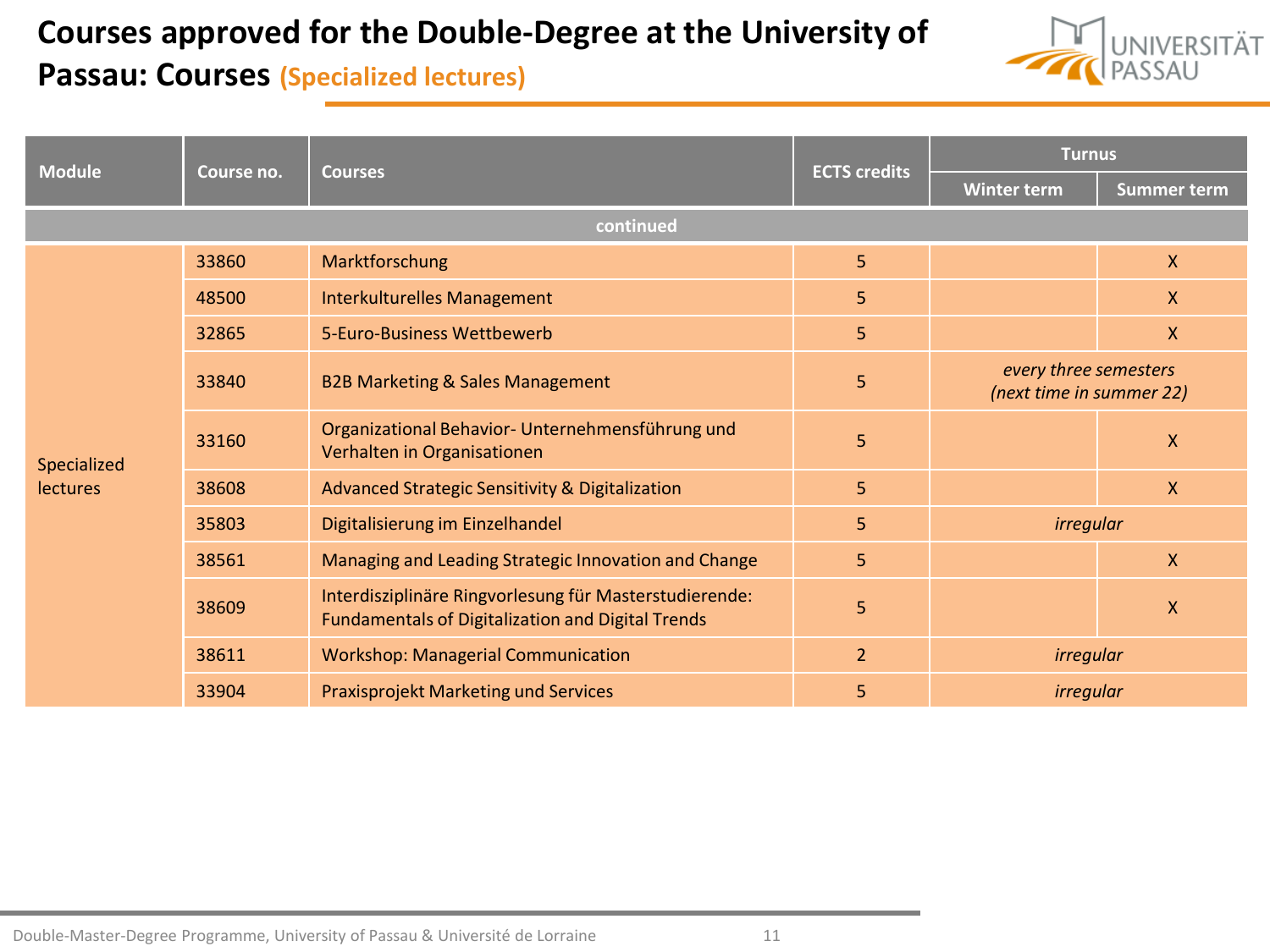### **Courses approved for the Double-Degree at the University of**



### **Passau: Courses (Specialized lectures)**

|               |                                             |                                                                                                                    |                                                   | <b>Turnus</b>      |                    |
|---------------|---------------------------------------------|--------------------------------------------------------------------------------------------------------------------|---------------------------------------------------|--------------------|--------------------|
| <b>Module</b> | Course no.                                  | <b>Courses</b>                                                                                                     | <b>ECTS credits</b>                               | <b>Winter term</b> | <b>Summer term</b> |
|               |                                             | continued                                                                                                          |                                                   |                    |                    |
|               | 33860                                       | Marktforschung                                                                                                     | 5 <sup>1</sup>                                    |                    | $\mathsf{X}$       |
|               | 48500                                       | <b>Interkulturelles Management</b>                                                                                 | 5                                                 |                    | X.                 |
|               | 32865                                       | 5-Euro-Business Wettbewerb                                                                                         | 5                                                 |                    | $\mathsf{X}$       |
| 33840         | <b>B2B Marketing &amp; Sales Management</b> | 5                                                                                                                  | every three semesters<br>(next time in summer 22) |                    |                    |
| Specialized   | 33160                                       | Organizational Behavior- Unternehmensführung und<br>Verhalten in Organisationen                                    | 5                                                 |                    | X                  |
| lectures      | 38608                                       | Advanced Strategic Sensitivity & Digitalization                                                                    | 5                                                 |                    | $\mathsf{X}$       |
|               | 35803                                       | Digitalisierung im Einzelhandel                                                                                    | 5                                                 | <i>irregular</i>   |                    |
|               | 38561                                       | Managing and Leading Strategic Innovation and Change                                                               | 5                                                 |                    | $\mathsf{X}$       |
|               | 38609                                       | Interdisziplinäre Ringvorlesung für Masterstudierende:<br><b>Fundamentals of Digitalization and Digital Trends</b> | 5                                                 |                    | X                  |
|               | 38611                                       | <b>Workshop: Managerial Communication</b>                                                                          | $\overline{2}$                                    | irregular          |                    |
|               | 33904                                       | <b>Praxisprojekt Marketing und Services</b>                                                                        | 5                                                 | irregular          |                    |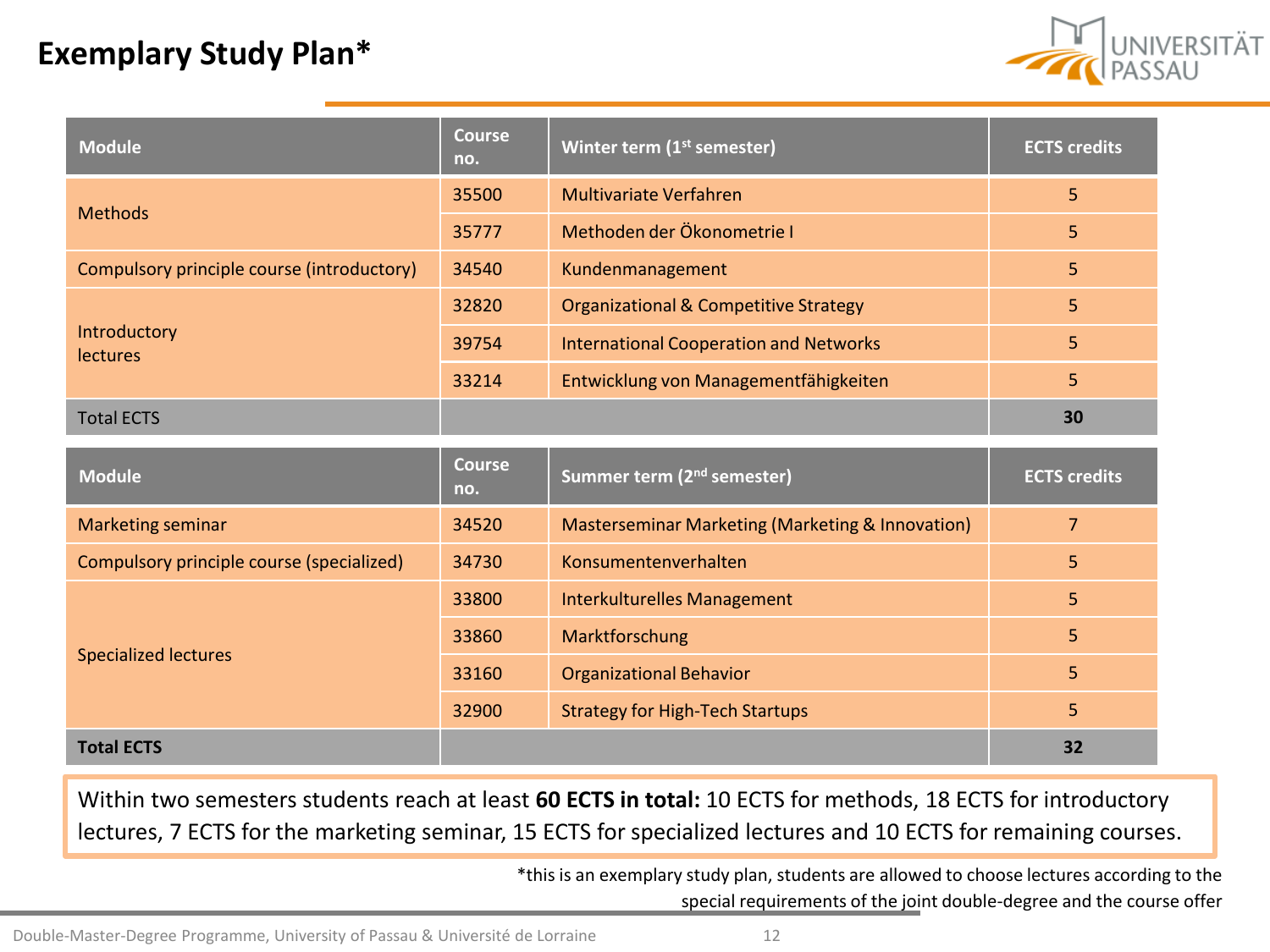### **Exemplary Study Plan\***



| Module                                     | Course<br>no.        | Winter term (1 <sup>st</sup> semester)           | <b>ECTS credits</b> |
|--------------------------------------------|----------------------|--------------------------------------------------|---------------------|
| <b>Methods</b>                             | 35500                | <b>Multivariate Verfahren</b>                    | 5                   |
|                                            | 35777                | Methoden der Ökonometrie I                       | 5                   |
| Compulsory principle course (introductory) | 34540                | Kundenmanagement                                 | 5                   |
|                                            | 32820                | <b>Organizational &amp; Competitive Strategy</b> | 5                   |
| Introductory<br><b>lectures</b>            | 39754                | <b>International Cooperation and Networks</b>    | 5                   |
|                                            | 33214                | Entwicklung von Managementfähigkeiten            | 5                   |
| <b>Total ECTS</b>                          |                      |                                                  | 30                  |
|                                            |                      |                                                  |                     |
| <b>Module</b>                              | <b>Course</b><br>no. | Summer term (2 <sup>nd</sup> semester)           | <b>ECTS credits</b> |
| Marketing seminar                          | 34520                | Masterseminar Marketing (Marketing & Innovation) | $\overline{7}$      |
| Compulsory principle course (specialized)  | 34730                | Konsumentenverhalten                             | 5                   |
|                                            | 33800                | <b>Interkulturelles Management</b>               | 5                   |
|                                            | 33860                | Marktforschung                                   | 5                   |
| <b>Specialized lectures</b>                | 33160                | <b>Organizational Behavior</b>                   | 5                   |
|                                            | 32900                | <b>Strategy for High-Tech Startups</b>           | 5                   |

Within two semesters students reach at least **60 ECTS in total:** 10 ECTS for methods, 18 ECTS for introductory lectures, 7 ECTS for the marketing seminar, 15 ECTS for specialized lectures and 10 ECTS for remaining courses.

> \*this is an exemplary study plan, students are allowed to choose lectures according to the special requirements of the joint double-degree and the course offer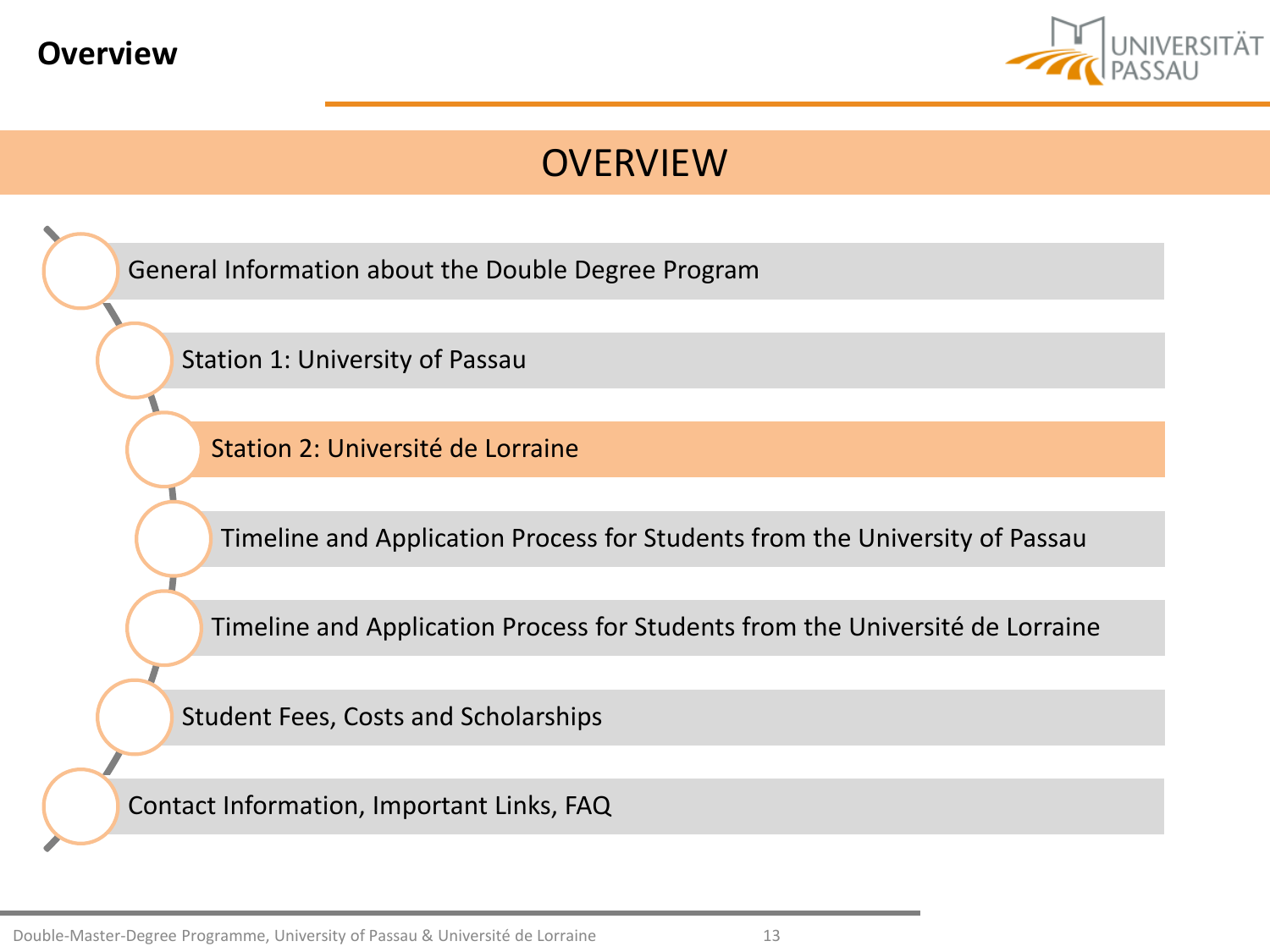<span id="page-12-0"></span>



[General Information about](#page-2-0) the Double Degree Program

[Station 1: University of](#page-6-0) Passau

[Station 2: Université](#page-12-0) de Lorraine

[Timeline and](#page-21-0) Application Process for Students from the University of Passau

[Timeline and](#page-27-0) Application Process for Students from the Université de Lorraine

[Student Fees, Costs](#page-30-0) and Scholarships

[Contact Information, Important](#page-33-0) Links, FAQ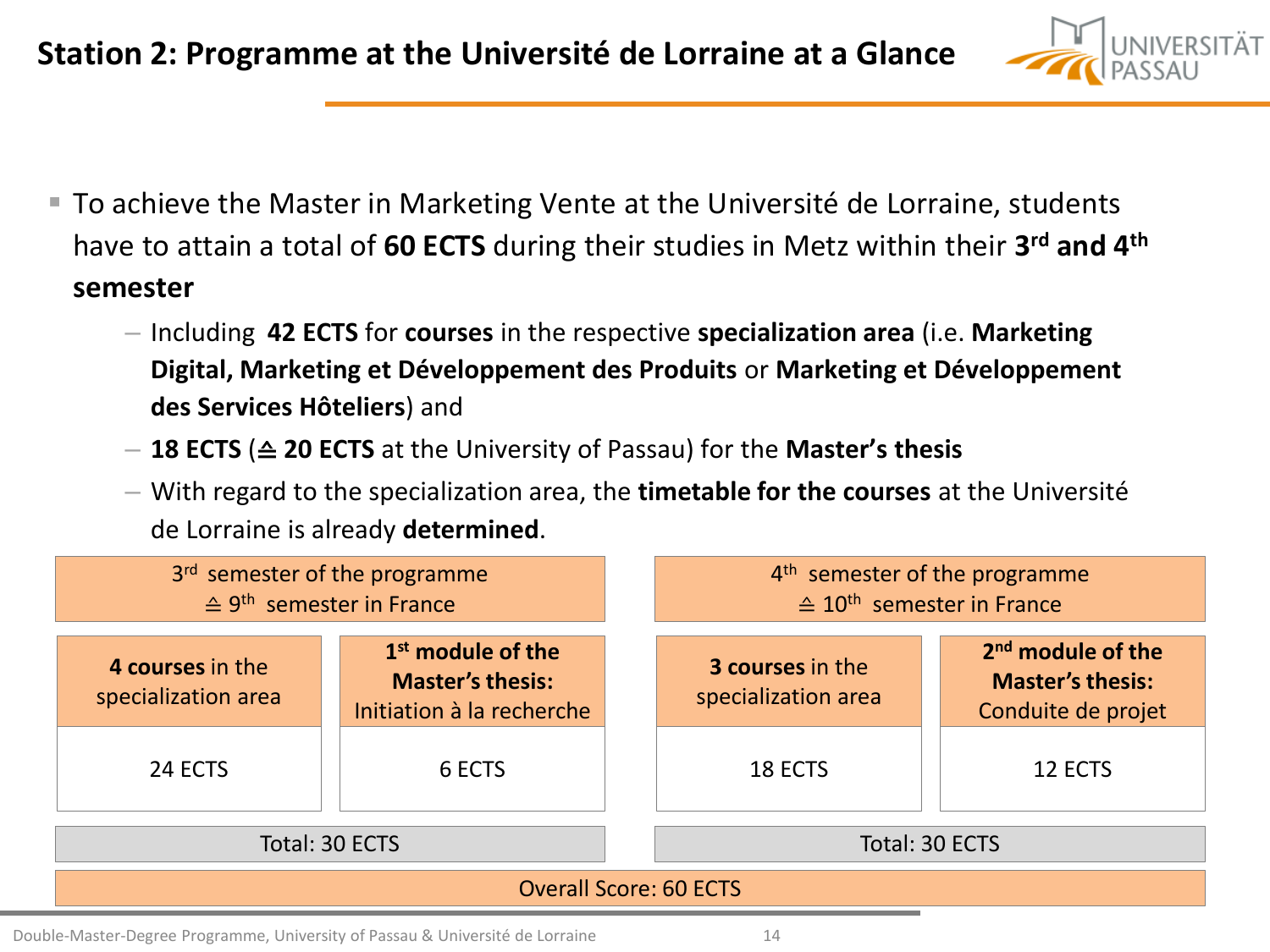

- To achieve the Master in Marketing Vente at the Université de Lorraine, students have to attain a total of **60 ECTS** during their studies in Metz within their **3 rd and 4th semester**
	- Including **42 ECTS** for **courses** in the respective **specialization area** (i.e. **Marketing Digital, Marketing et Développement des Produits** or **Marketing et Développement des Services Hôteliers**) and
	- **18 ECTS** (≙ **20 ECTS** at the University of Passau) for the **Master's thesis**
	- With regard to the specialization area, the **timetable for the courses** at the Université de Lorraine is already **determined**.

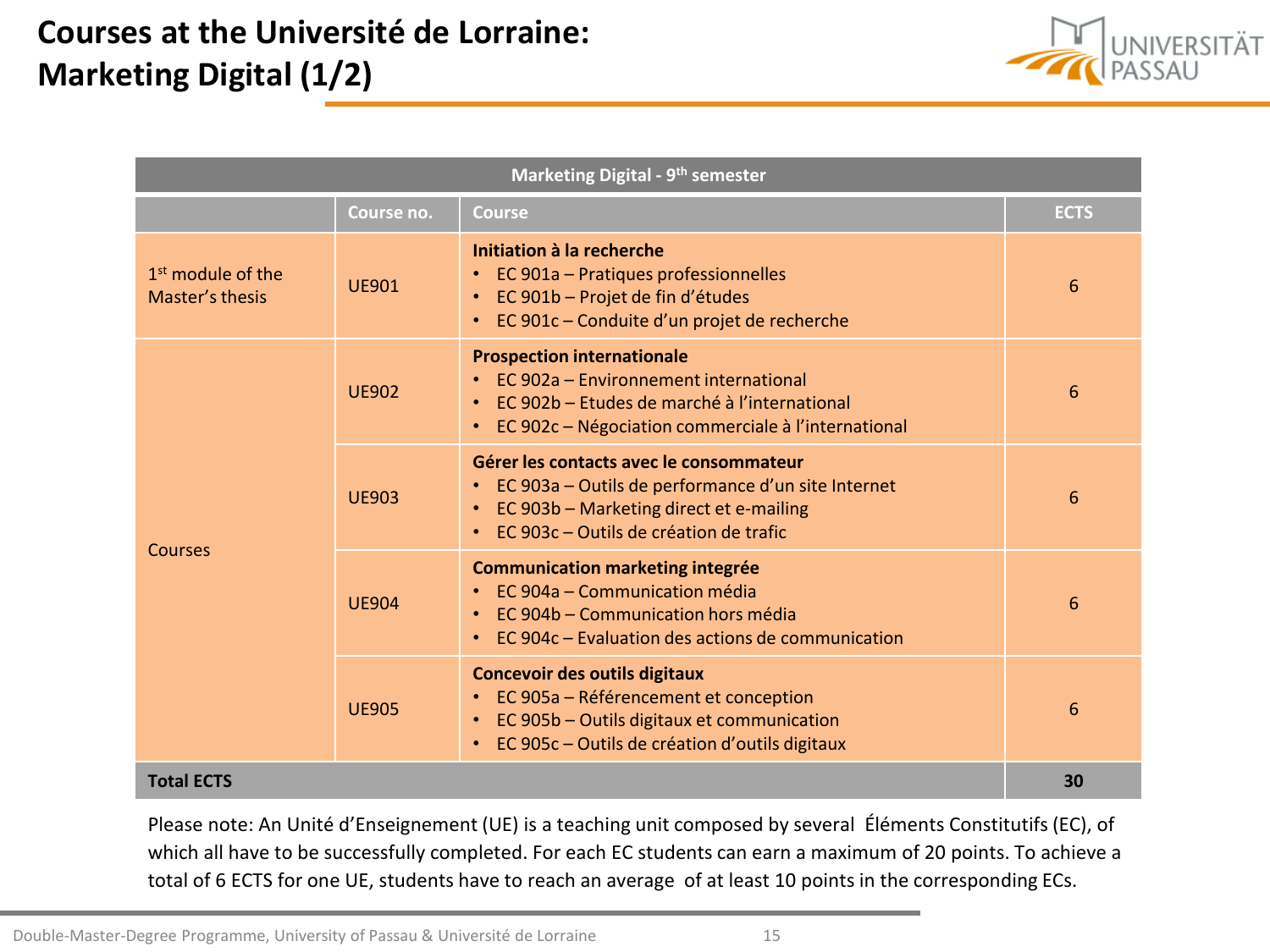# **Courses at the Université de Lorraine: Marketing Digital (1/2)**



| Marketing Digital - 9 <sup>th</sup> semester     |              |                                                                                                                                                                                                |             |  |
|--------------------------------------------------|--------------|------------------------------------------------------------------------------------------------------------------------------------------------------------------------------------------------|-------------|--|
|                                                  | Course no.   | <b>Course</b>                                                                                                                                                                                  | <b>ECTS</b> |  |
| 1 <sup>st</sup> module of the<br>Master's thesis | <b>UE901</b> | Initiation à la recherche<br>EC 901a - Pratiques professionnelles<br>EC 901b - Projet de fin d'études<br>$\bullet$<br>EC 901c - Conduite d'un projet de recherche                              | 6           |  |
| Courses                                          | <b>UE902</b> | <b>Prospection internationale</b><br>EC 902a - Environnement international<br>EC 902b – Etudes de marché à l'international<br>EC 902c - Négociation commerciale à l'international<br>$\bullet$ | 6           |  |
|                                                  | <b>UE903</b> | Gérer les contacts avec le consommateur<br>EC 903a - Outils de performance d'un site Internet<br>• EC 903b - Marketing direct et e-mailing<br>EC 903c – Outils de création de trafic           | 6           |  |
|                                                  | <b>UF904</b> | <b>Communication marketing integrée</b><br>• EC 904a – Communication média<br>EC 904b - Communication hors média<br>$\bullet$<br>EC 904c – Evaluation des actions de communication             | 6           |  |
|                                                  | <b>UF905</b> | <b>Concevoir des outils digitaux</b><br>• EC 905a - Référencement et conception<br>EC 905b - Outils digitaux et communication<br>$\bullet$<br>EC 905c - Outils de création d'outils digitaux   | 6           |  |
| <b>Total ECTS</b>                                |              |                                                                                                                                                                                                | 30          |  |

Please note: An Unité d'Enseignement (UE) is a teaching unit composed by several Éléments Constitutifs (EC), of which all have to be successfully completed. For each EC students can earn a maximum of 20 points. To achieve a total of 6 ECTS for one UE, students have to reach an average of at least 10 points in the corresponding ECs.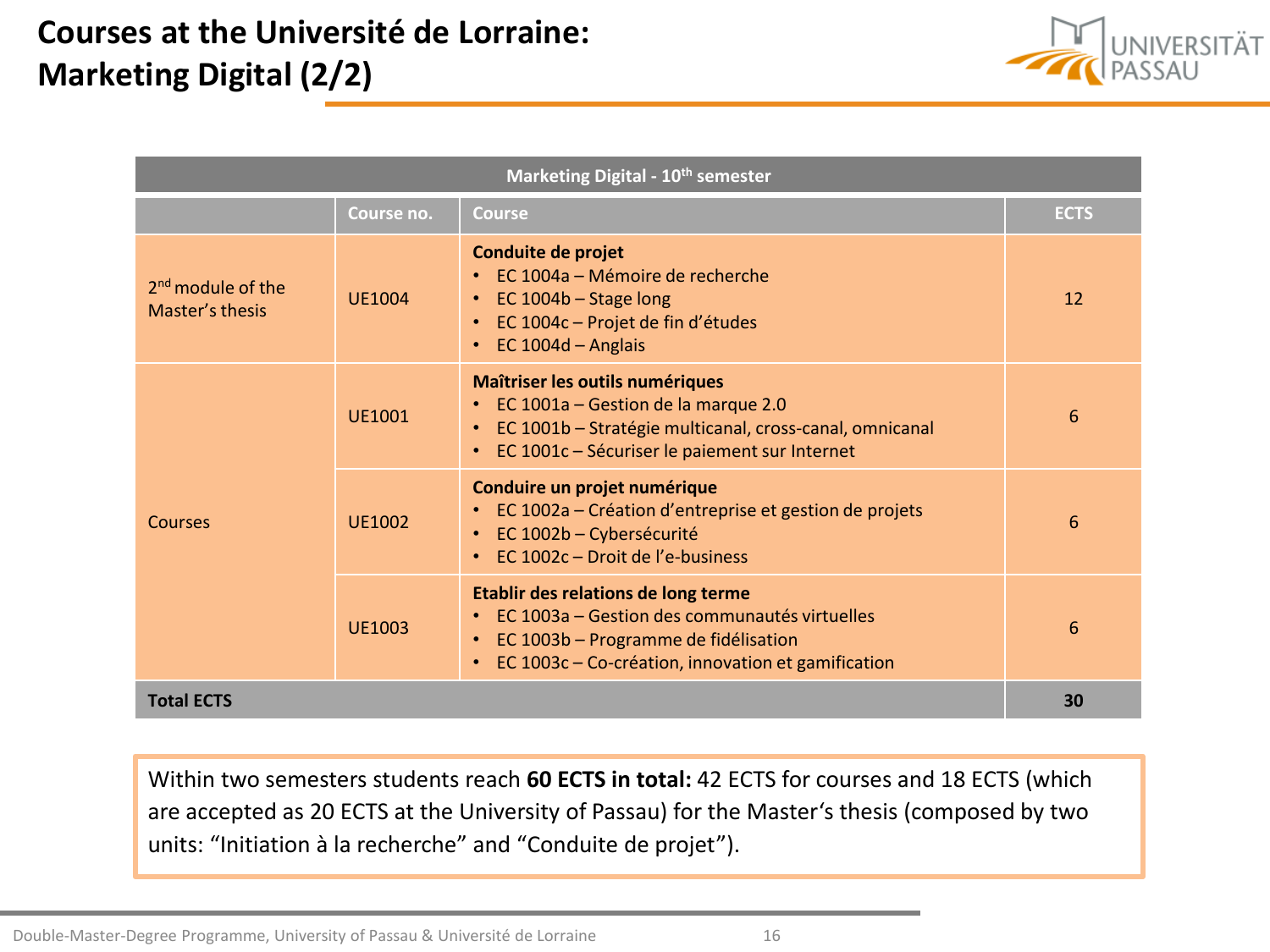# **Courses at the Université de Lorraine: Marketing Digital (2/2)**



| Marketing Digital - 10 <sup>th</sup> semester |               |                                                                                                                                                                                                     |             |  |
|-----------------------------------------------|---------------|-----------------------------------------------------------------------------------------------------------------------------------------------------------------------------------------------------|-------------|--|
|                                               | Course no.    | <b>Course</b>                                                                                                                                                                                       | <b>ECTS</b> |  |
| $2nd$ module of the<br>Master's thesis        | <b>UE1004</b> | Conduite de projet<br>EC 1004a - Mémoire de recherche<br>• EC 1004b - Stage long<br>EC 1004c - Projet de fin d'études<br>EC $1004d -$ Anglais                                                       | 12          |  |
| Courses                                       | <b>UF1001</b> | Maîtriser les outils numériques<br>• EC 1001a - Gestion de la marque 2.0<br>EC 1001b - Stratégie multicanal, cross-canal, omnicanal<br>$\bullet$ .<br>EC 1001c - Sécuriser le paiement sur Internet | 6           |  |
|                                               | <b>UE1002</b> | Conduire un projet numérique<br>EC 1002a – Création d'entreprise et gestion de projets<br>EC 1002b – Cybersécurité<br>$\bullet$<br>EC 1002c - Droit de l'e-business                                 | 6           |  |
|                                               | <b>UE1003</b> | Etablir des relations de long terme<br>EC 1003a – Gestion des communautés virtuelles<br>EC 1003b - Programme de fidélisation<br>EC 1003c - Co-création, innovation et gamification                  | 6           |  |
| <b>Total ECTS</b>                             |               |                                                                                                                                                                                                     | 30          |  |

Within two semesters students reach **60 ECTS in total:** 42 ECTS for courses and 18 ECTS (which are accepted as 20 ECTS at the University of Passau) for the Master's thesis (composed by two units: "Initiation à la recherche" and "Conduite de projet").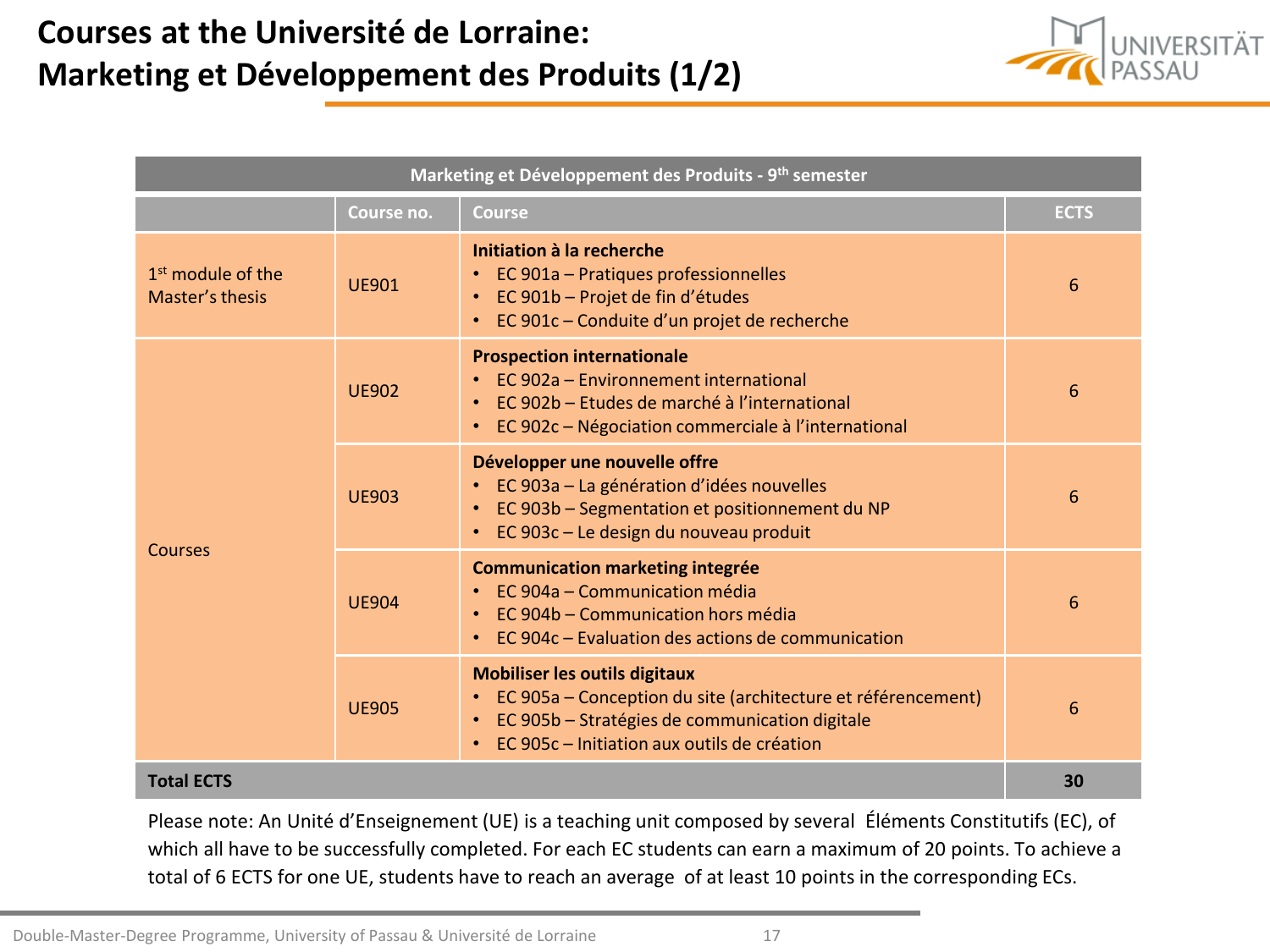### **Courses at the Université de Lorraine: Marketing et Développement des Produits (1/2)**



| Marketing et Développement des Produits - 9 <sup>th</sup> semester |              |                                                                                                                                                                                                             |             |  |
|--------------------------------------------------------------------|--------------|-------------------------------------------------------------------------------------------------------------------------------------------------------------------------------------------------------------|-------------|--|
|                                                                    | Course no.   | <b>Course</b>                                                                                                                                                                                               | <b>ECTS</b> |  |
| 1 <sup>st</sup> module of the<br>Master's thesis                   | <b>UF901</b> | Initiation à la recherche<br>• EC 901a - Pratiques professionnelles<br>• EC 901b - Projet de fin d'études<br>• EC 901c - Conduite d'un projet de recherche                                                  | 6           |  |
| Courses                                                            | <b>UE902</b> | <b>Prospection internationale</b><br>• EC 902a – Environnement international<br>• EC 902b – Etudes de marché à l'international<br>• EC 902c - Négociation commerciale à l'international                     | 6           |  |
|                                                                    | <b>UF903</b> | Développer une nouvelle offre<br>• EC 903a - La génération d'idées nouvelles<br>• EC 903b - Segmentation et positionnement du NP<br>• EC 903c - Le design du nouveau produit                                | 6           |  |
|                                                                    | <b>UE904</b> | <b>Communication marketing integrée</b><br>• EC 904a – Communication média<br>• EC 904b - Communication hors média<br>• EC 904c – Evaluation des actions de communication                                   | 6           |  |
|                                                                    | <b>UF905</b> | <b>Mobiliser les outils digitaux</b><br>• EC 905a – Conception du site (architecture et référencement)<br>• EC 905b - Stratégies de communication digitale<br>• EC 905c – Initiation aux outils de création | 6           |  |
| <b>Total ECTS</b>                                                  |              |                                                                                                                                                                                                             | 30          |  |

Please note: An Unité d'Enseignement (UE) is a teaching unit composed by several Éléments Constitutifs (EC), of which all have to be successfully completed. For each EC students can earn a maximum of 20 points. To achieve a total of 6 ECTS for one UE, students have to reach an average of at least 10 points in the corresponding ECs.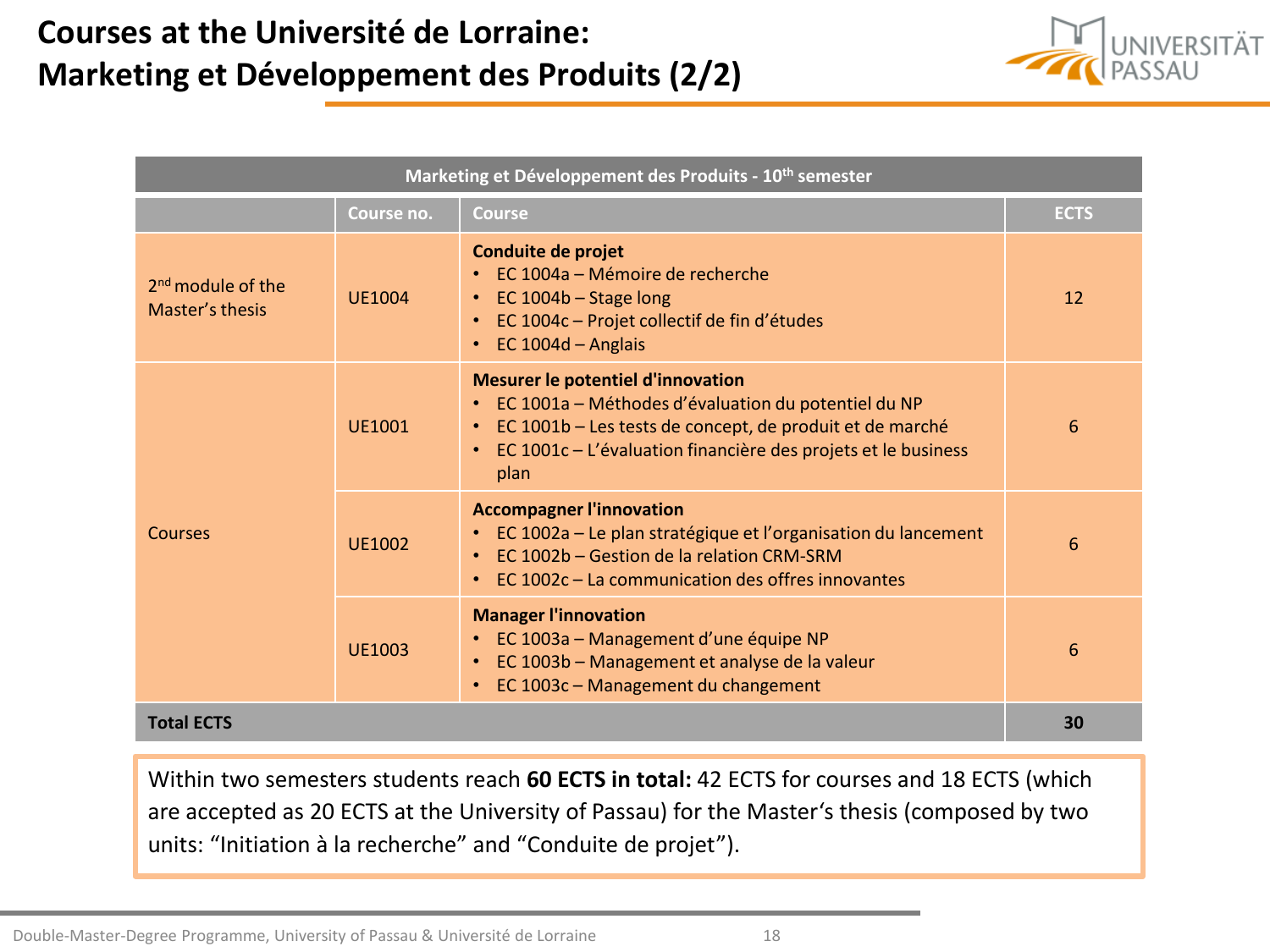### **Courses at the Université de Lorraine: Marketing et Développement des Produits (2/2)**



| Marketing et Développement des Produits - 10 <sup>th</sup> semester |               |                                                                                                                                                                                                                                            |             |  |
|---------------------------------------------------------------------|---------------|--------------------------------------------------------------------------------------------------------------------------------------------------------------------------------------------------------------------------------------------|-------------|--|
|                                                                     | Course no.    | <b>Course</b>                                                                                                                                                                                                                              | <b>ECTS</b> |  |
| $2nd$ module of the<br>Master's thesis                              | <b>UE1004</b> | Conduite de projet<br>• EC 1004a – Mémoire de recherche<br>• EC 1004b - Stage long<br>• EC 1004c - Projet collectif de fin d'études<br>$\cdot$ EC 1004d - Anglais                                                                          | 12          |  |
| Courses                                                             | <b>UE1001</b> | <b>Mesurer le potentiel d'innovation</b><br>• EC 1001a - Méthodes d'évaluation du potentiel du NP<br>• EC 1001b – Les tests de concept, de produit et de marché<br>• EC 1001c - L'évaluation financière des projets et le business<br>plan | 6           |  |
|                                                                     | <b>UE1002</b> | <b>Accompagner l'innovation</b><br>• EC 1002a - Le plan stratégique et l'organisation du lancement<br>• EC 1002b – Gestion de la relation CRM-SRM<br>EC 1002c – La communication des offres innovantes                                     | 6           |  |
|                                                                     | UF1003        | <b>Manager l'innovation</b><br>• EC 1003a - Management d'une équipe NP<br>• EC 1003b - Management et analyse de la valeur<br>• EC 1003c - Management du changement                                                                         | 6           |  |
| <b>Total ECTS</b>                                                   |               |                                                                                                                                                                                                                                            | 30          |  |

Within two semesters students reach **60 ECTS in total:** 42 ECTS for courses and 18 ECTS (which are accepted as 20 ECTS at the University of Passau) for the Master's thesis (composed by two units: "Initiation à la recherche" and "Conduite de projet").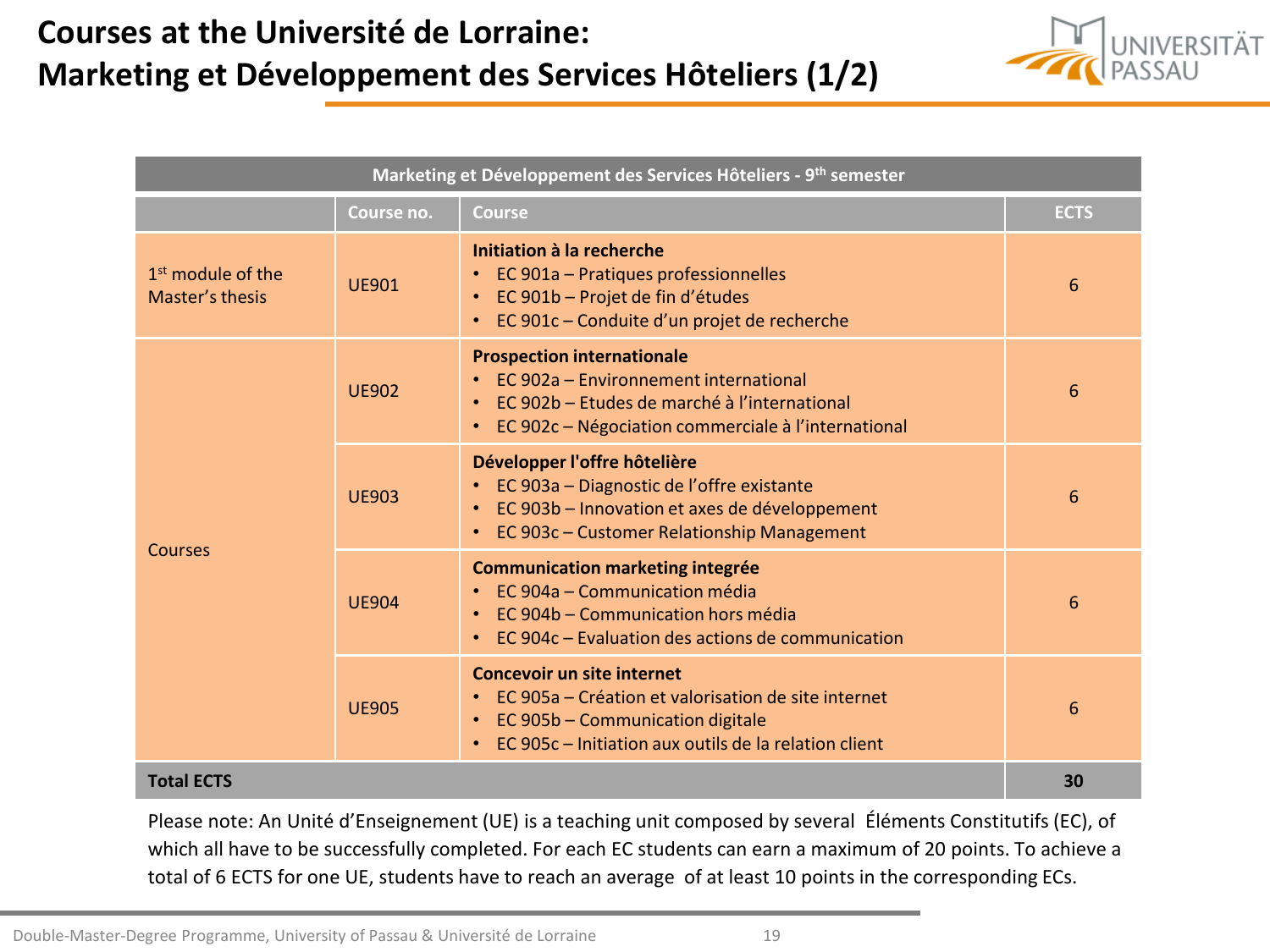### **Courses at the Université de Lorraine: Marketing et Développement des Services Hôteliers (1/2)**



| Marketing et Développement des Services Hôteliers - 9 <sup>th</sup> semester |              |                                                                                                                                                                                             |             |  |
|------------------------------------------------------------------------------|--------------|---------------------------------------------------------------------------------------------------------------------------------------------------------------------------------------------|-------------|--|
|                                                                              | Course no.   | <b>Course</b>                                                                                                                                                                               | <b>ECTS</b> |  |
| $1st$ module of the<br>Master's thesis                                       | <b>UE901</b> | Initiation à la recherche<br>• EC 901a - Pratiques professionnelles<br>EC 901b - Projet de fin d'études<br>$\bullet$ .<br>• EC 901c - Conduite d'un projet de recherche                     | 6           |  |
| <b>Courses</b>                                                               | <b>UE902</b> | <b>Prospection internationale</b><br>EC 902a – Environnement international<br>• EC 902b – Etudes de marché à l'international<br>EC 902c - Négociation commerciale à l'international         | 6           |  |
|                                                                              | <b>UE903</b> | Développer l'offre hôtelière<br>EC 903a - Diagnostic de l'offre existante<br>• EC 903b - Innovation et axes de développement<br>EC 903c - Customer Relationship Management                  | 6           |  |
|                                                                              | <b>UE904</b> | <b>Communication marketing integrée</b><br>• EC 904a – Communication média<br>• EC 904b - Communication hors média<br>EC 904c – Evaluation des actions de communication                     | 6           |  |
|                                                                              | <b>UE905</b> | <b>Concevoir un site internet</b><br>• EC 905a – Création et valorisation de site internet<br>• EC 905b - Communication digitale<br>• EC 905c - Initiation aux outils de la relation client | 6           |  |
| <b>Total ECTS</b>                                                            |              |                                                                                                                                                                                             | 30          |  |

Please note: An Unité d'Enseignement (UE) is a teaching unit composed by several Éléments Constitutifs (EC), of which all have to be successfully completed. For each EC students can earn a maximum of 20 points. To achieve a total of 6 ECTS for one UE, students have to reach an average of at least 10 points in the corresponding ECs.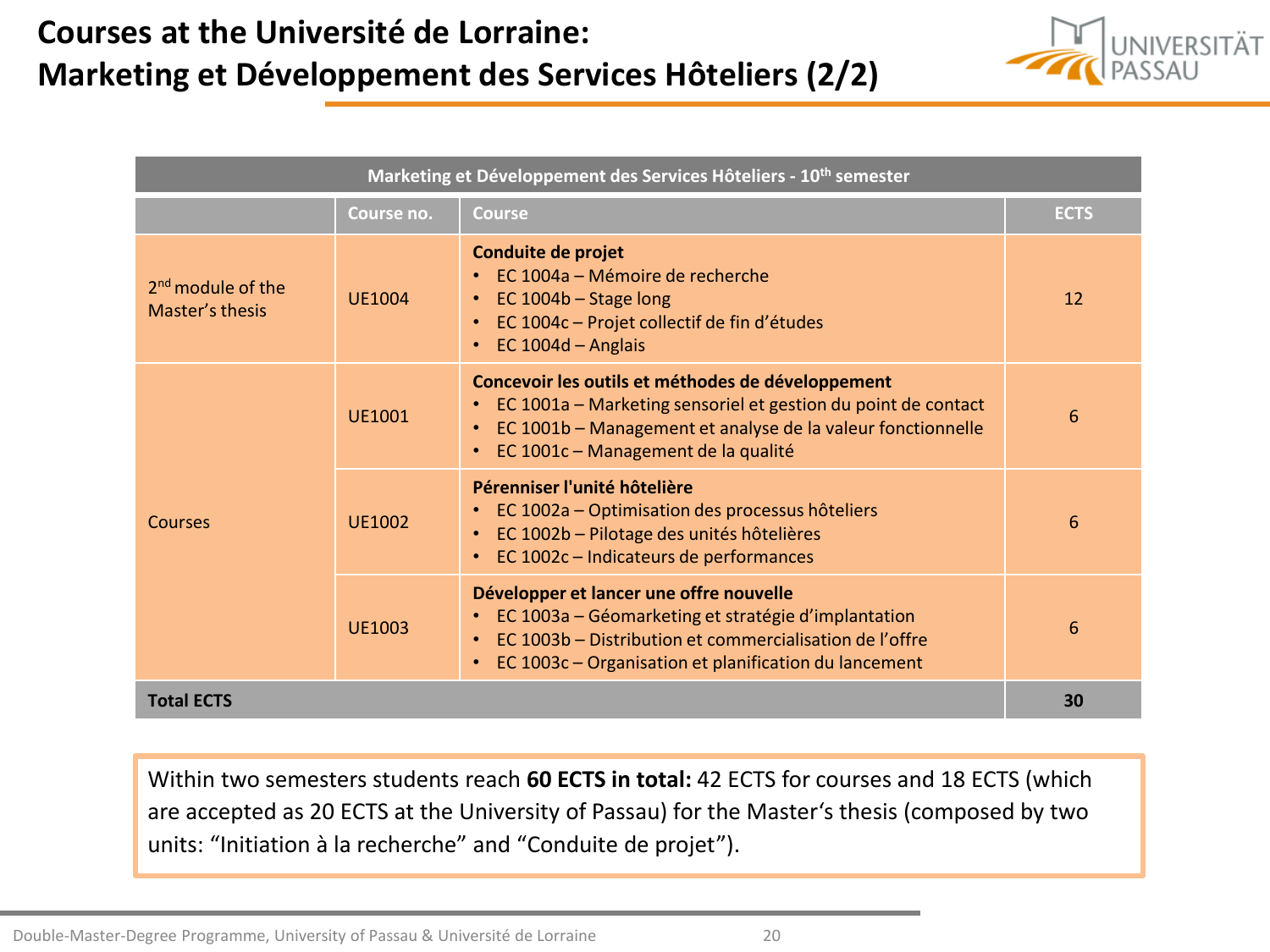# **Courses at the Université de Lorraine: Marketing et Développement des Services Hôteliers (2/2)**



| Marketing et Développement des Services Hôteliers - 10 <sup>th</sup> semester |               |                                                                                                                                                                                                                            |             |  |
|-------------------------------------------------------------------------------|---------------|----------------------------------------------------------------------------------------------------------------------------------------------------------------------------------------------------------------------------|-------------|--|
|                                                                               | Course no.    | <b>Course</b>                                                                                                                                                                                                              | <b>ECTS</b> |  |
| $2nd$ module of the<br>Master's thesis                                        | <b>UE1004</b> | Conduite de projet<br>$\cdot$ FC 1004a – Mémoire de recherche<br>EC 1004b - Stage long<br>EC 1004c - Projet collectif de fin d'études<br>EC $1004d -$ Anglais                                                              | 12          |  |
| Courses                                                                       | <b>UF1001</b> | Concevoir les outils et méthodes de développement<br>• EC 1001a - Marketing sensoriel et gestion du point de contact<br>EC 1001b - Management et analyse de la valeur fonctionnelle<br>EC 1001c - Management de la qualité | 6           |  |
|                                                                               | UF1002        | Pérenniser l'unité hôtelière<br>EC 1002a – Optimisation des processus hôteliers<br>EC 1002b - Pilotage des unités hôtelières<br>$\bullet$<br>EC 1002c - Indicateurs de performances                                        | 6           |  |
|                                                                               | UF1003        | Développer et lancer une offre nouvelle<br>EC 1003a – Géomarketing et stratégie d'implantation<br>EC 1003b - Distribution et commercialisation de l'offre<br>EC 1003c - Organisation et planification du lancement         | 6           |  |
| <b>Total ECTS</b>                                                             |               |                                                                                                                                                                                                                            | 30          |  |

Within two semesters students reach **60 ECTS in total:** 42 ECTS for courses and 18 ECTS (which are accepted as 20 ECTS at the University of Passau) for the Master's thesis (composed by two units: "Initiation à la recherche" and "Conduite de projet").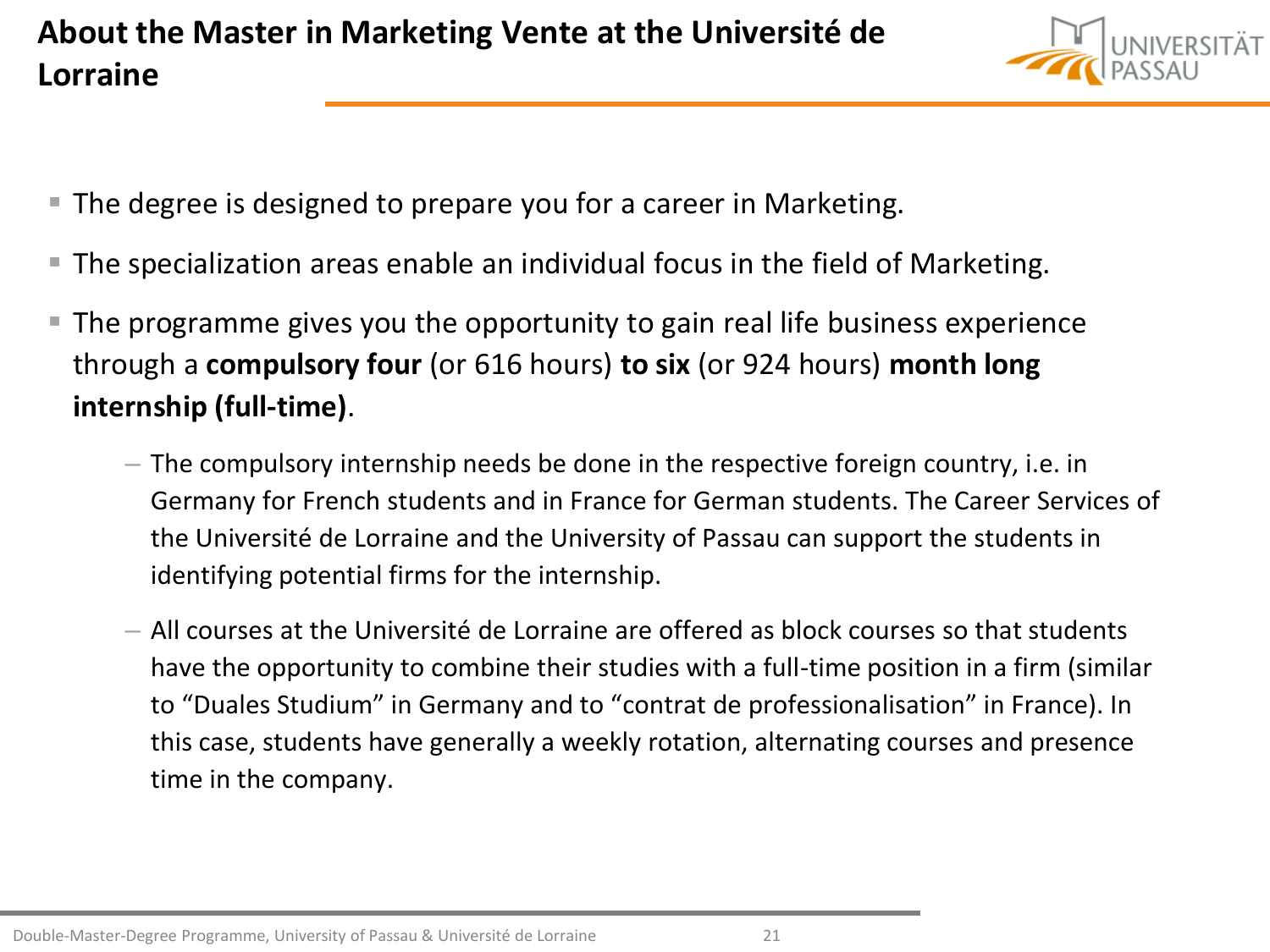

- **The degree is designed to prepare you for a career in Marketing.**
- The specialization areas enable an individual focus in the field of Marketing.
- The programme gives you the opportunity to gain real life business experience through a **compulsory four** (or 616 hours) **to six** (or 924 hours) **month long internship (full-time)**.
	- The compulsory internship needs be done in the respective foreign country, i.e. in Germany for French students and in France for German students. The Career Services of the Université de Lorraine and the University of Passau can support the students in identifying potential firms for the internship.
	- All courses at the Université de Lorraine are offered as block courses so that students have the opportunity to combine their studies with a full-time position in a firm (similar to "Duales Studium" in Germany and to "contrat de professionalisation" in France). In this case, students have generally a weekly rotation, alternating courses and presence time in the company.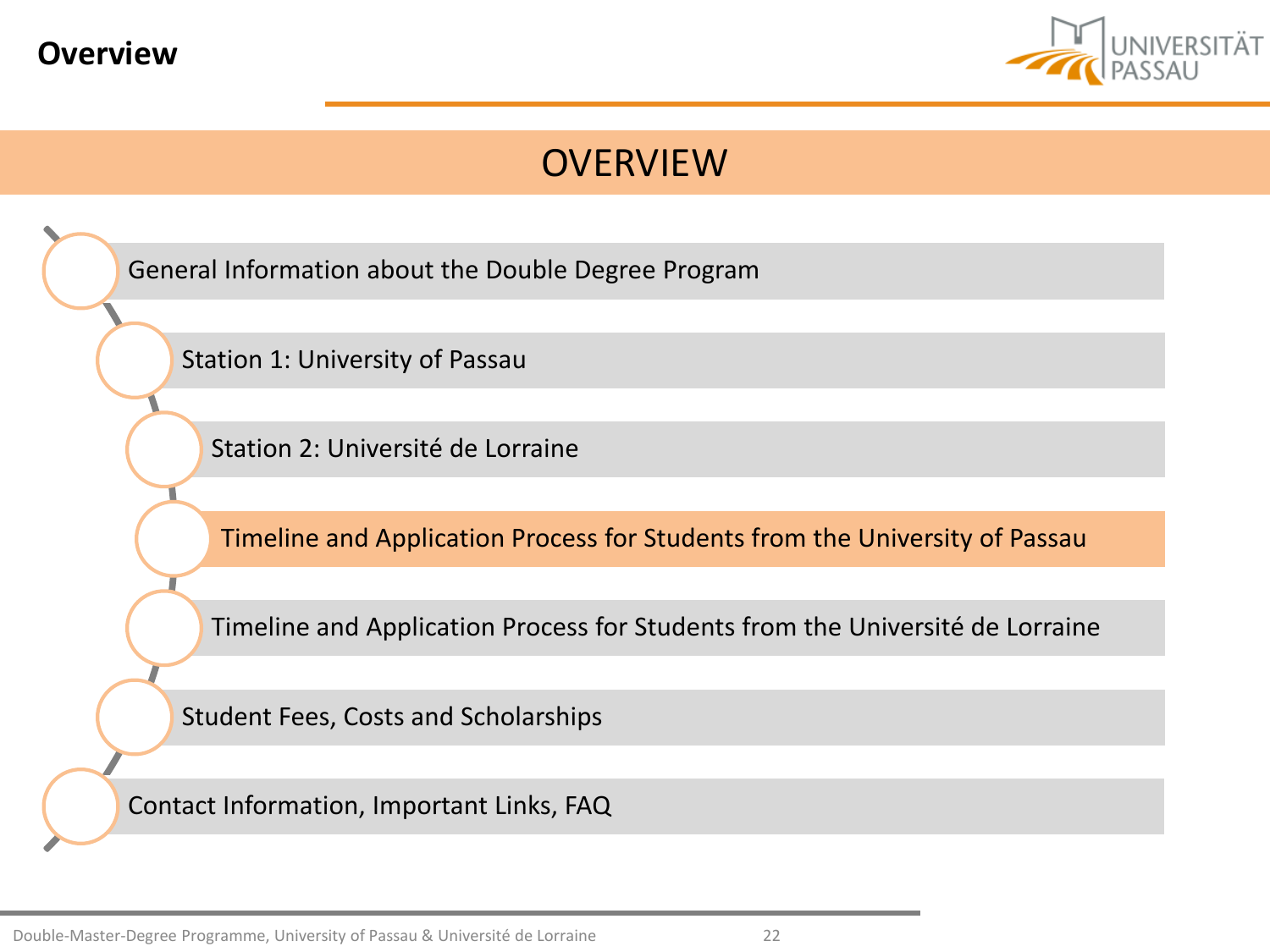<span id="page-21-0"></span>



[General Information about](#page-2-0) the Double Degree Program

[Station 1: University of](#page-6-0) Passau

[Station 2: Université](#page-12-0) de Lorraine

[Timeline and](#page-21-0) Application Process for Students from the University of Passau

[Timeline and](#page-27-0) Application Process for Students from the Université de Lorraine

[Student Fees, Costs](#page-30-0) and Scholarships

[Contact Information, Important](#page-33-0) Links, FAQ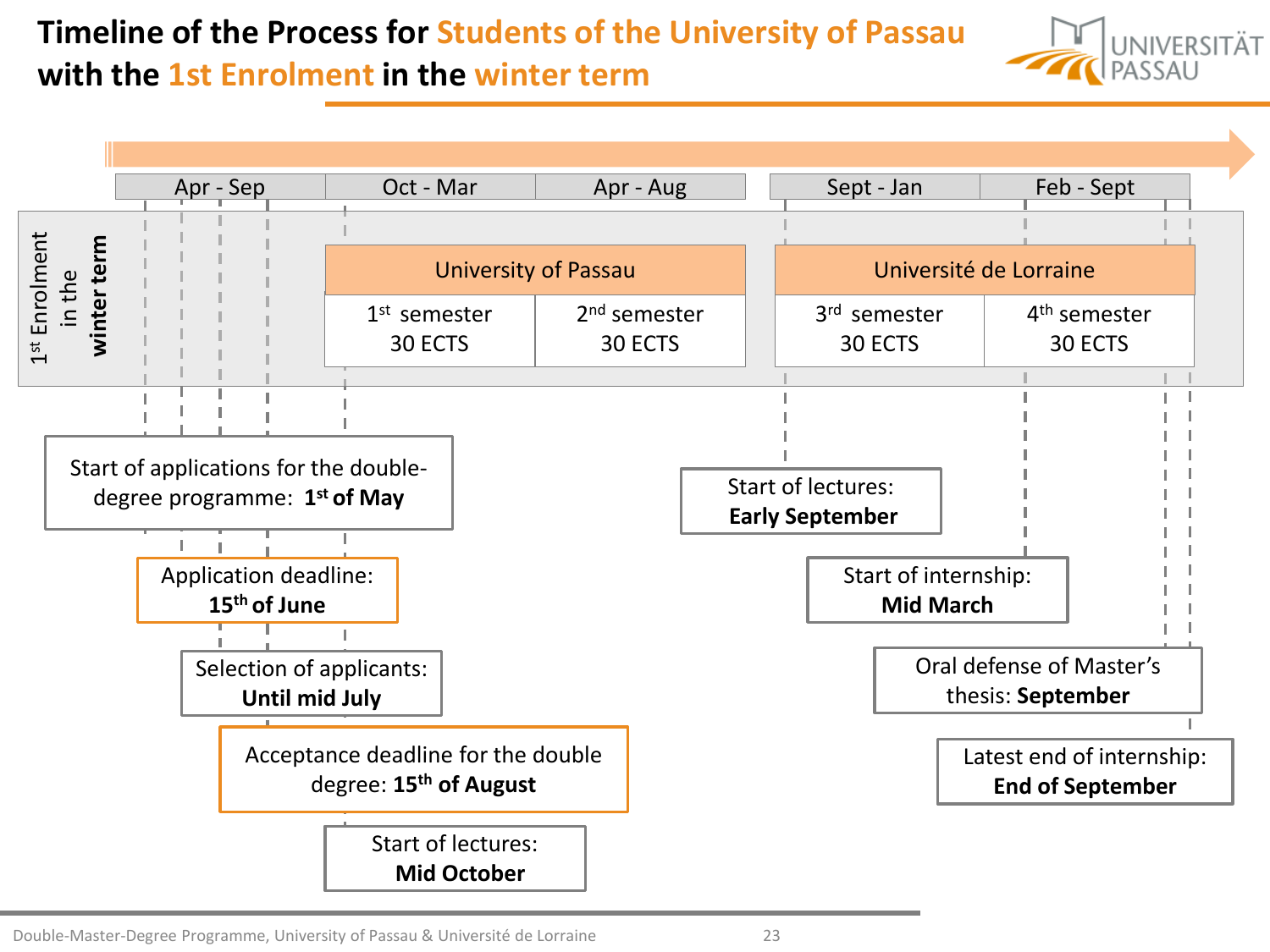# **Timeline of the Process for Students of the University of Passau**



### **with the 1st Enrolment in the winter term**

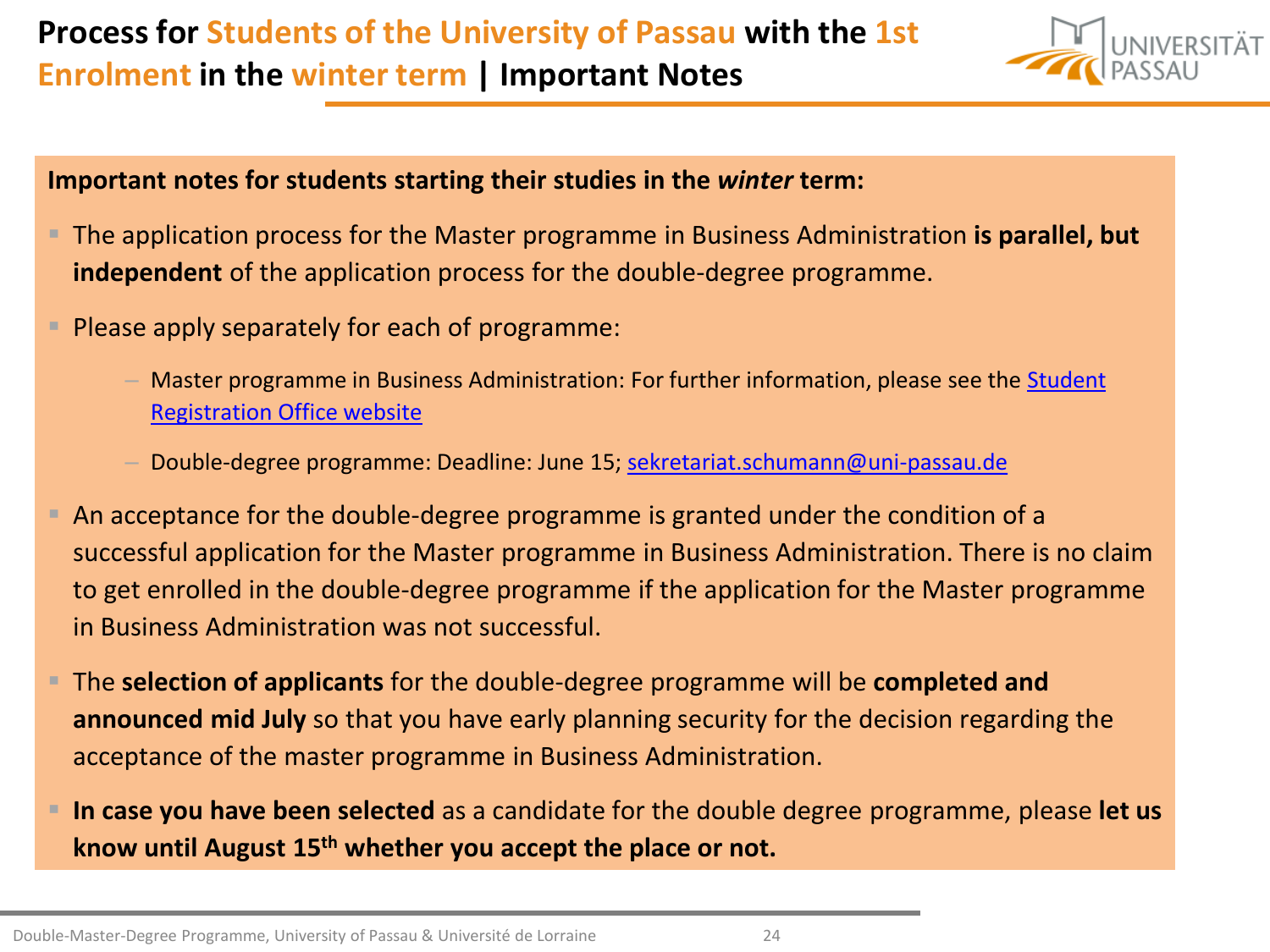

#### **Important notes for students starting their studies in the** *winter* **term:**

- The application process for the Master programme in Business Administration **is parallel, but independent** of the application process for the double-degree programme.
- **Please apply separately for each of programme:** 
	- Master programme [in Business Administration: For further information, please see the Student](https://www.uni-passau.de/bewerbung-master/bewerbung-master-business-administration-msc/) Registration Office website
	- Double-degree programme: Deadline: June 15; [sekretariat.schumann@uni-passau.de](mailto:sekretariat.schumann@uni-passau.de)
- An acceptance for the double-degree programme is granted under the condition of a successful application for the Master programme in Business Administration. There is no claim to get enrolled in the double-degree programme if the application for the Master programme in Business Administration was not successful.
- The **selection of applicants** for the double-degree programme will be **completed and announced mid July** so that you have early planning security for the decision regarding the acceptance of the master programme in Business Administration.
- **In case you have been selected** as a candidate for the double degree programme, please **let us know until August 15th whether you accept the place or not.**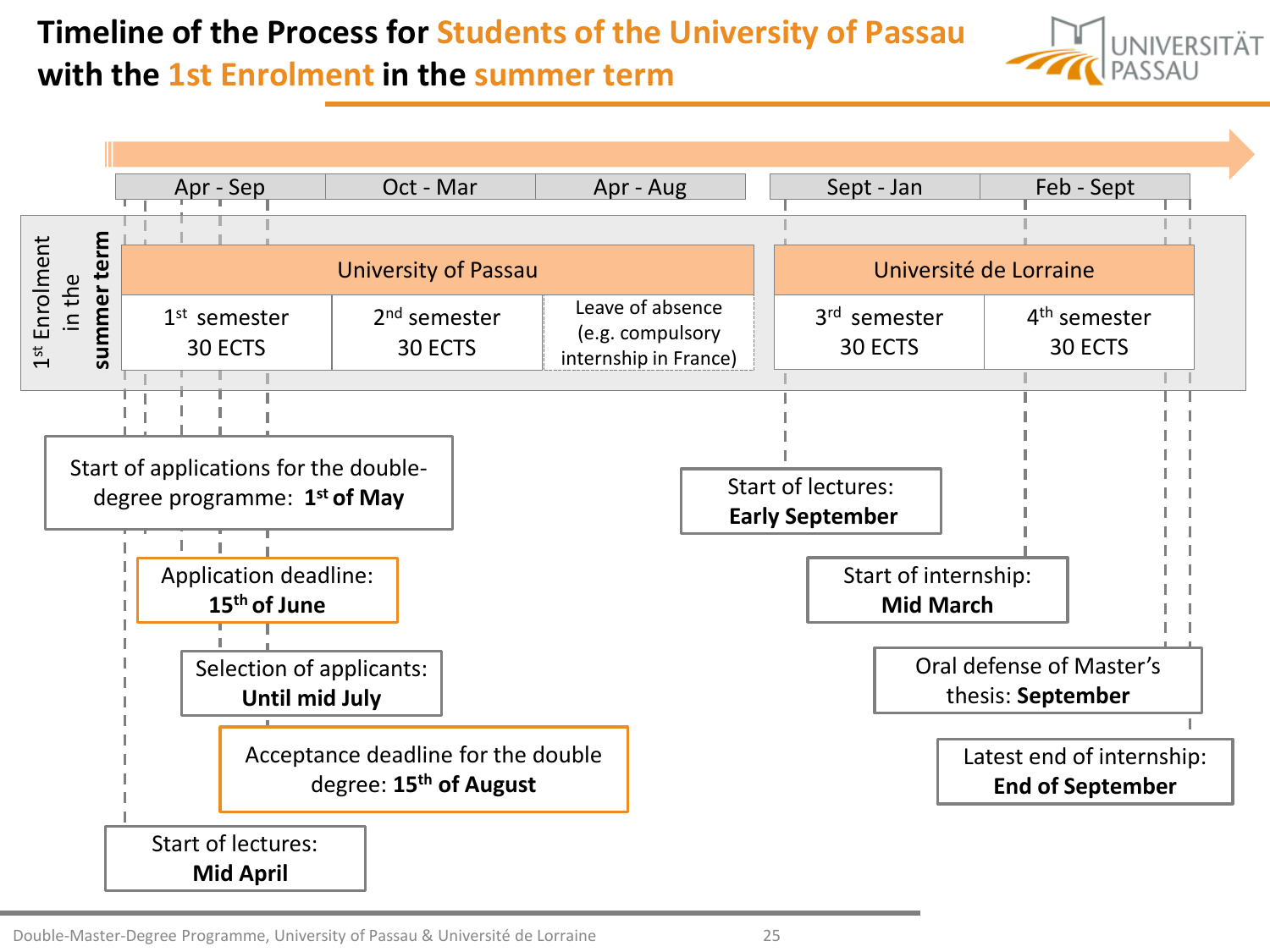### **Timeline of the Process for Students of the University of Passau with the 1st Enrolment in the summer term**



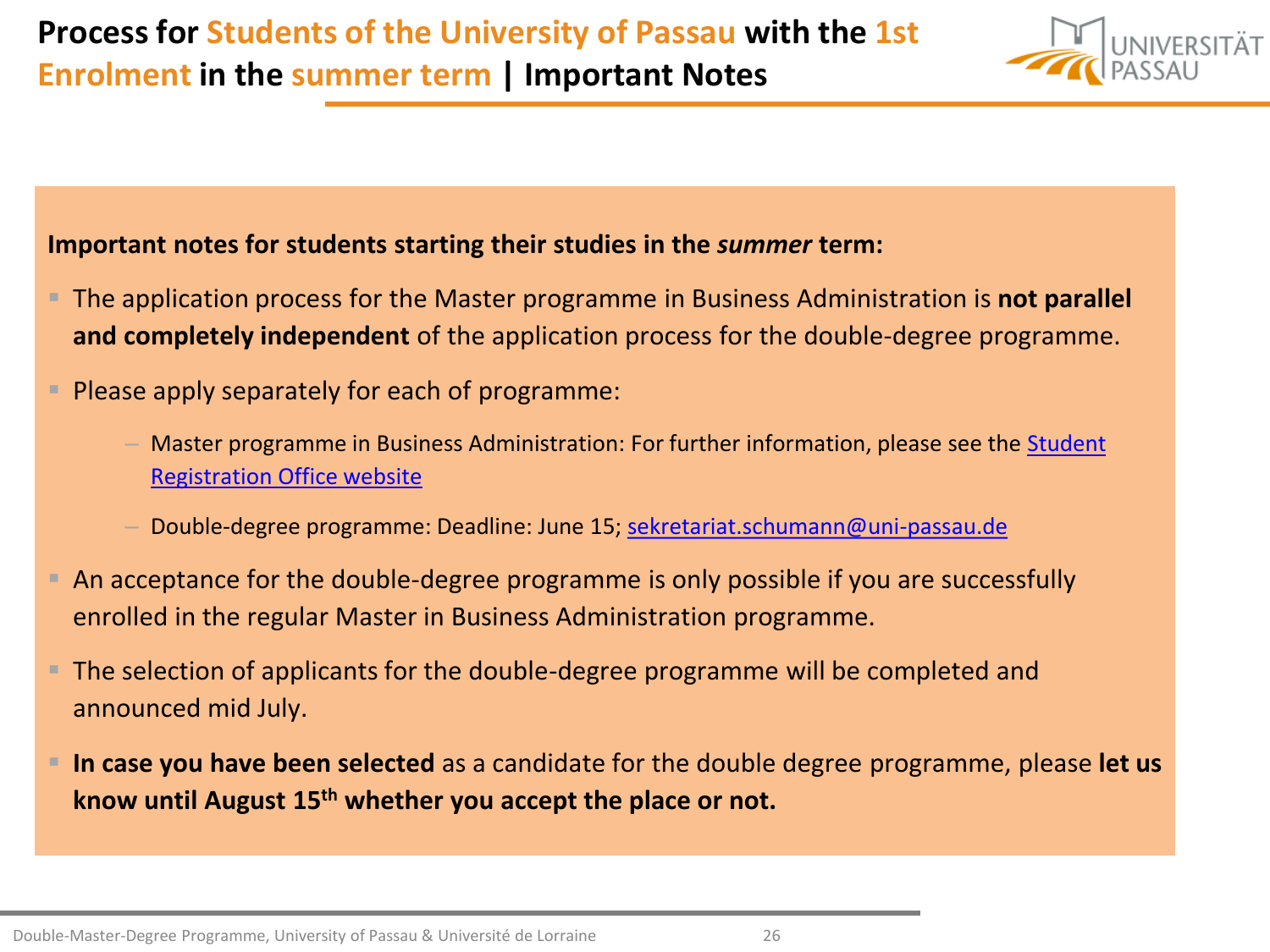#### **Important notes for students starting their studies in the** *summer* **term:**

- The application process for the Master programme in Business Administration is **not parallel and completely independent** of the application process for the double-degree programme.
- Please apply separately for each of programme:
	- Master programme [in Business Administration: For further information, please see the Student](https://www.uni-passau.de/bewerbung-master/bewerbung-master-business-administration-msc/) Registration Office website
	- Double-degree programme: Deadline: June 15; [sekretariat.schumann@uni-passau.de](mailto:sekretariat.schumann@uni-passau.de)
- **E** An acceptance for the double-degree programme is only possible if you are successfully enrolled in the regular Master in Business Administration programme.
- **The selection of applicants for the double-degree programme will be completed and** announced mid July.
- In case you have been selected as a candidate for the double degree programme, please let us **know until August 15th whether you accept the place or not.**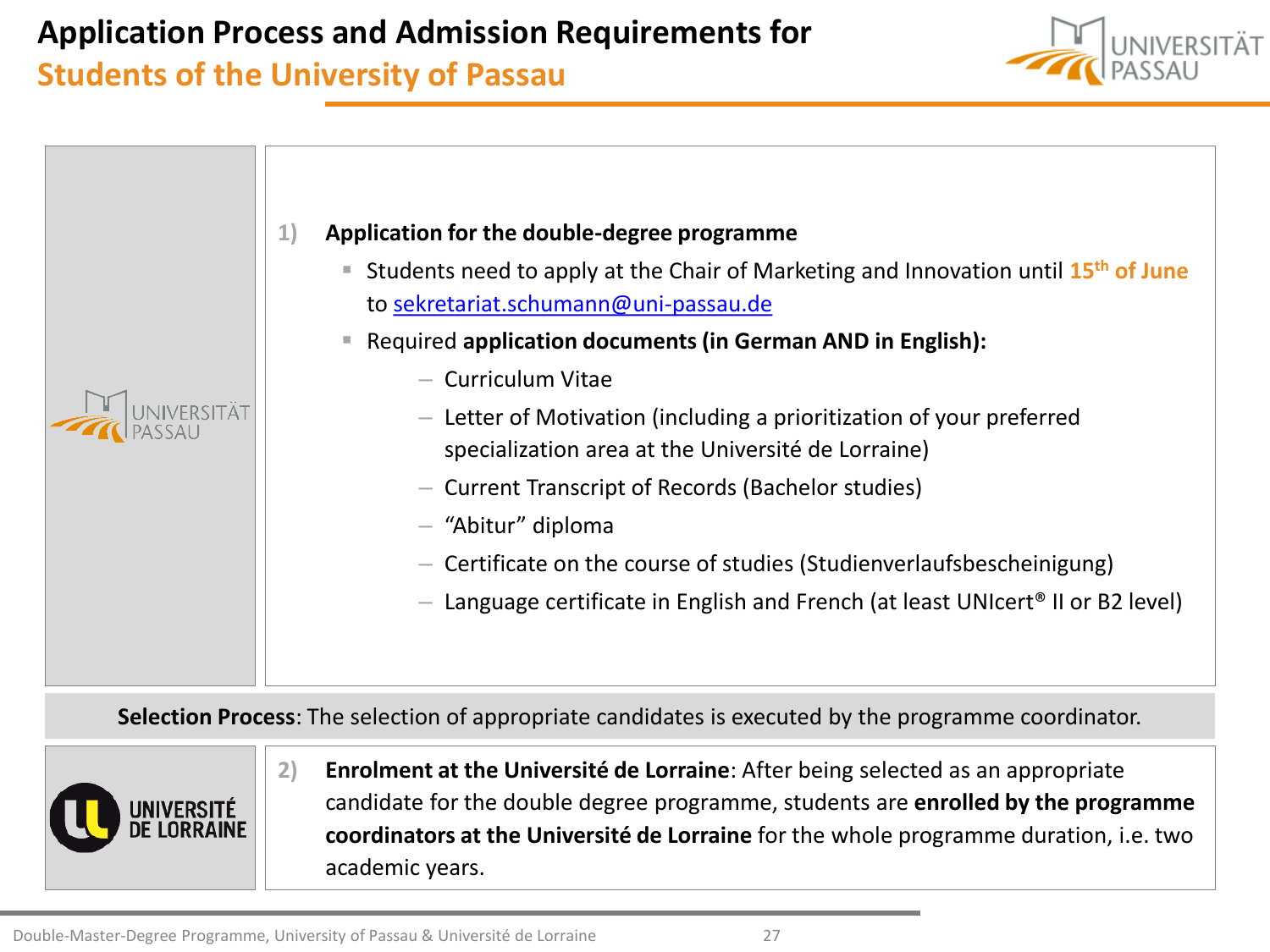### **Application Process and Admission Requirements for**

### **Students of the University of Passau**





**Selection Process**: The selection of appropriate candidates is executed by the programme coordinator.



**2) Enrolment at the Université de Lorraine**: After being selected as an appropriate candidate for the double degree programme, students are **enrolled by the programme coordinators at the Université de Lorraine** for the whole programme duration, i.e. two academic years.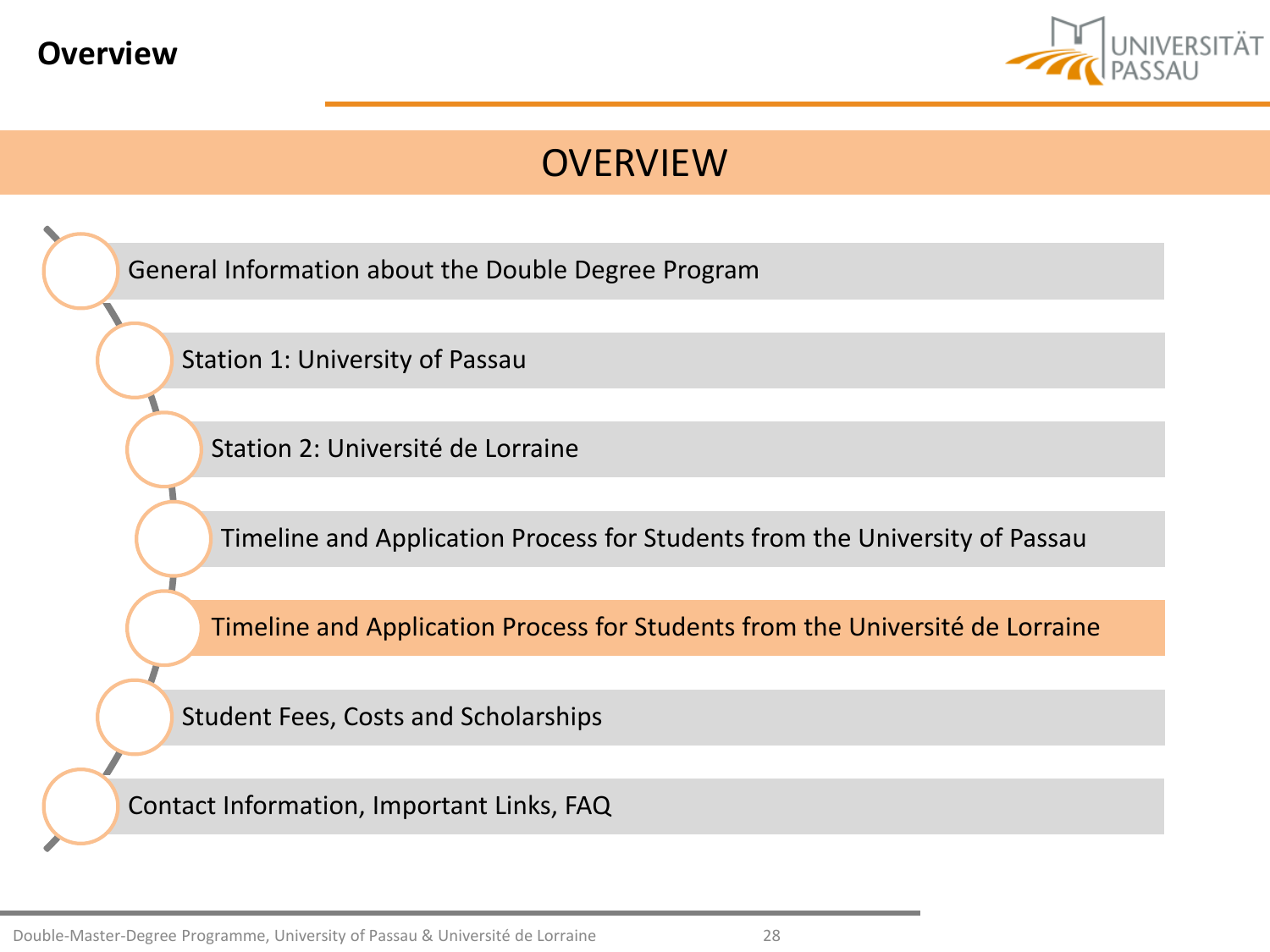<span id="page-27-0"></span>



[General Information about](#page-2-0) the Double Degree Program [Station 1: University of](#page-6-0) Passau [Station 2: Université](#page-12-0) de Lorraine [Timeline and](#page-21-0) Application Process for Students from the University of Passau [Timeline and](#page-27-0) Application Process for Students from the Université de Lorraine [Student Fees, Costs](#page-30-0) and Scholarships [Contact Information, Important](#page-33-0) Links, FAQ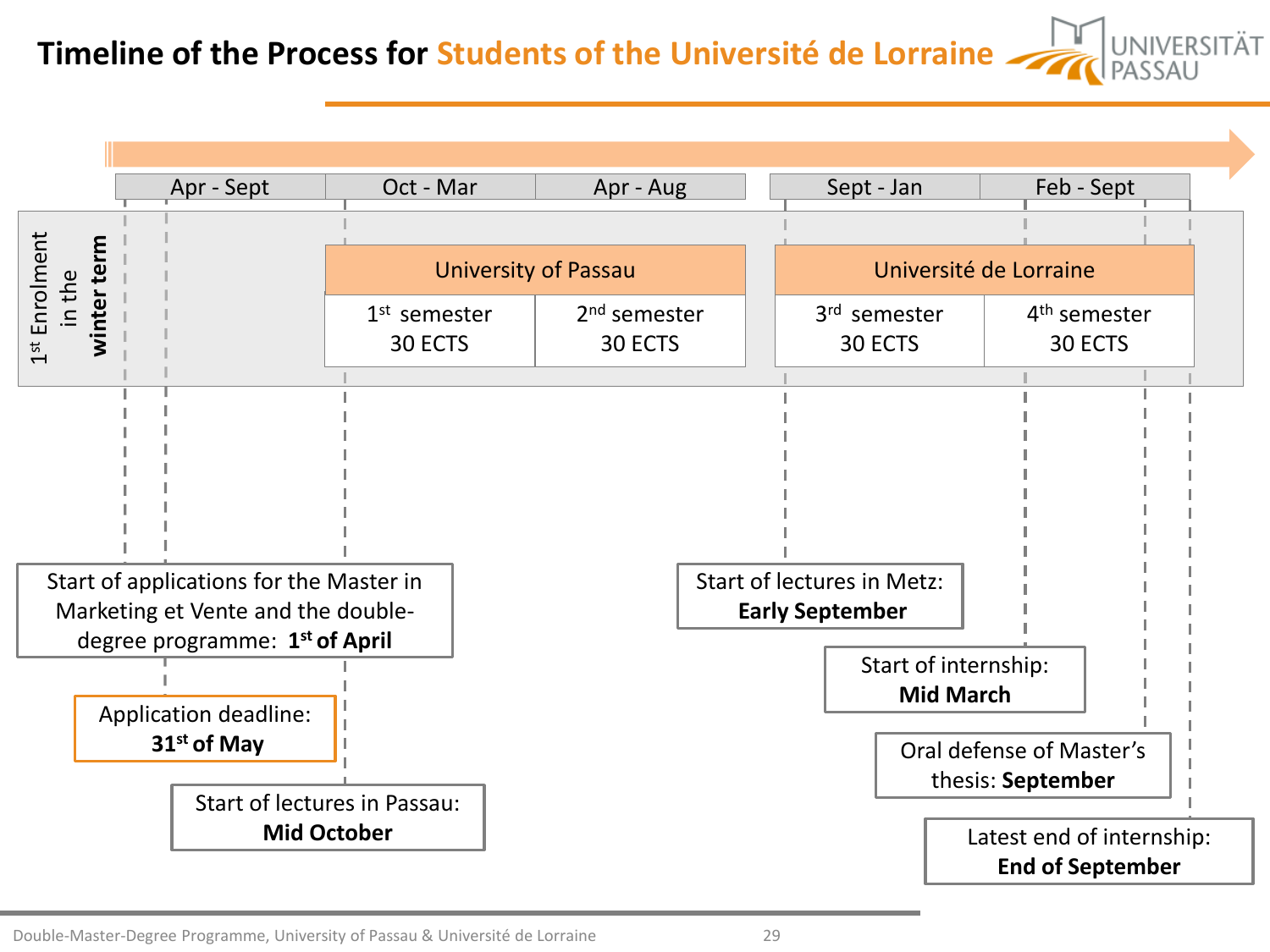**Timeline of the Process for Students of the Université de Lorraine Algebrass AU** 



Double-Master-Degree Programme, University of Passau & Université de Lorraine 29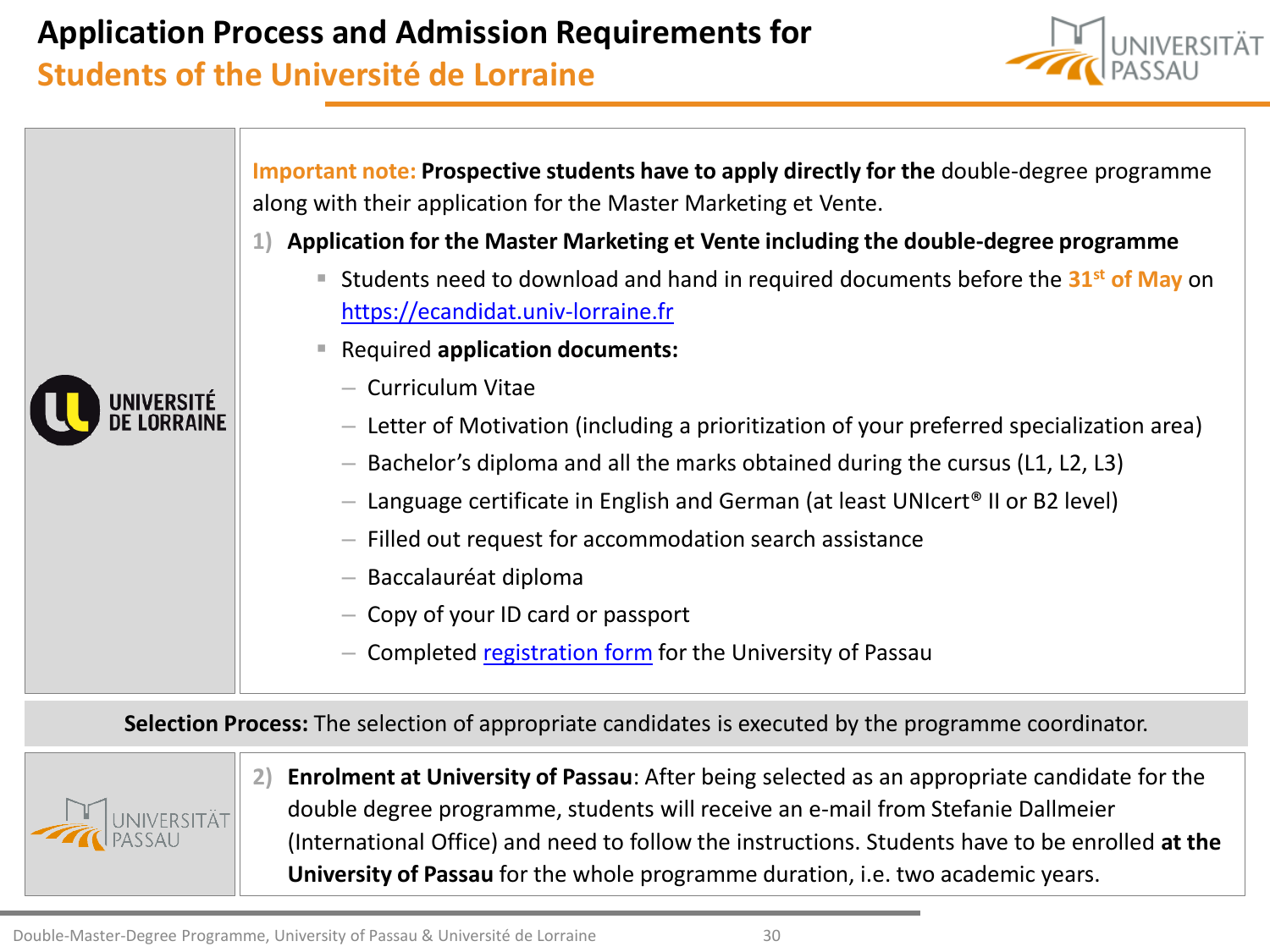### **Application Process and Admission Requirements for**

### **Students of the Université de Lorraine**



**Important note: Prospective students have to apply directly for the** double-degree programme along with their application for the Master Marketing et Vente.

- **1) Application for the Master Marketing et Vente including the double-degree programme**
	- Students need to download and hand in required documents before the 31<sup>st</sup> of May on [https://ecandidat.univ-lorraine.fr](https://ecandidat.univ-lorraine.fr/)
	- Required **application documents:**
		- Curriculum Vitae
		- Letter of Motivation (including a prioritization of your preferred specialization area)
		- Bachelor's diploma and all the marks obtained during the cursus (L1, L2, L3)
		- Language certificate in English and German (at least UNIcert<sup>®</sup> II or B2 level)
		- Filled out request for accommodation search assistance
		- Baccalauréat diploma
		- Copy of your ID card or passport
		- Completed [registration form](http://www.uni-passau.de/en/international/coming-to-passau/information-for-new-students/applications/exchange-students/) for the University of Passau

**Selection Process:** The selection of appropriate candidates is executed by the programme coordinator.



UNIVERSITÉ

**2) Enrolment at University of Passau**: After being selected as an appropriate candidate for the double degree programme, students will receive an e-mail from Stefanie Dallmeier (International Office) and need to follow the instructions. Students have to be enrolled **at the University of Passau** for the whole programme duration, i.e. two academic years.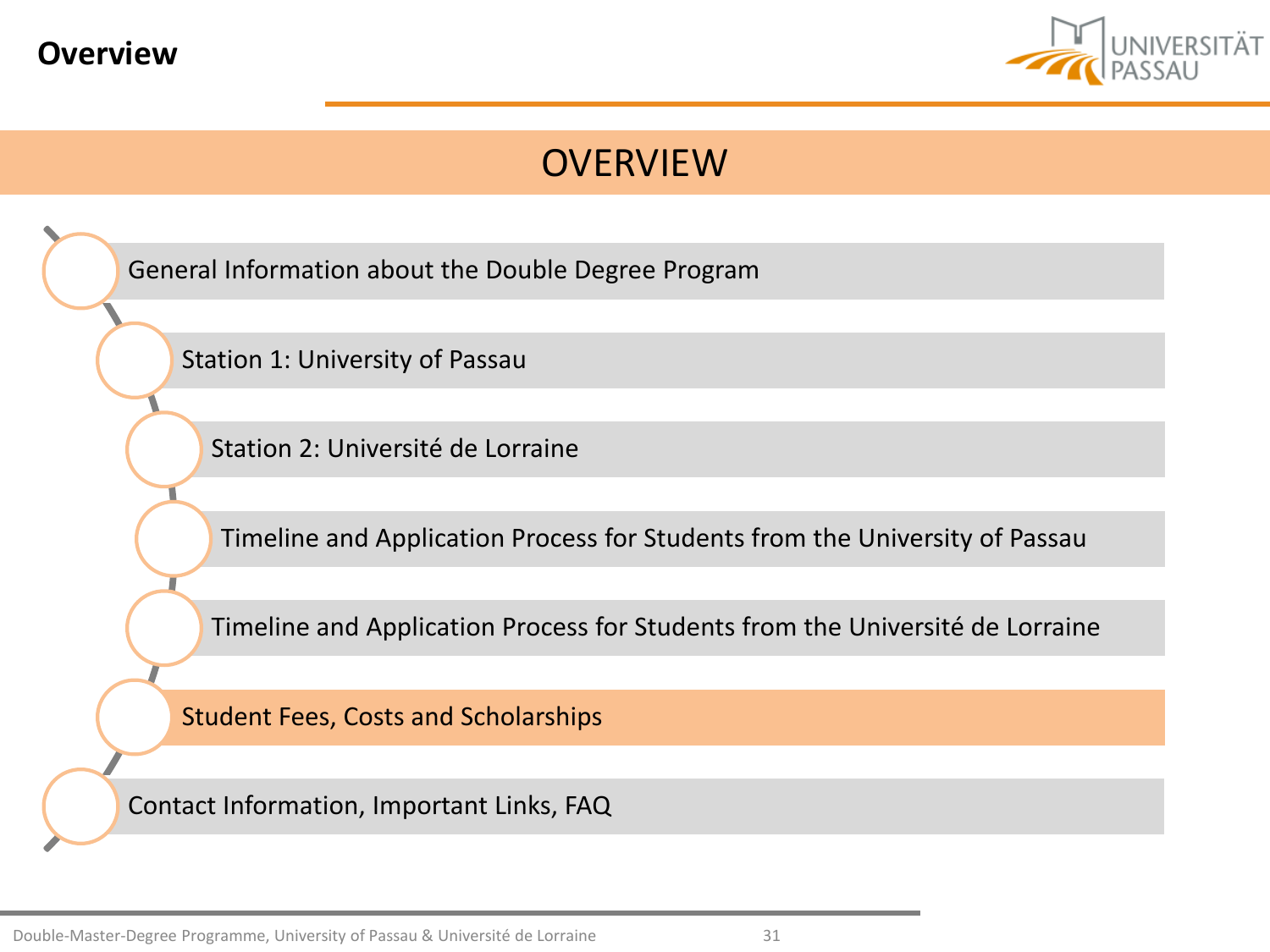<span id="page-30-0"></span>



[General Information about](#page-2-0) the Double Degree Program

[Station 1: University of](#page-6-0) Passau

[Station 2: Université](#page-12-0) de Lorraine

[Timeline and](#page-21-0) Application Process for Students from the University of Passau

[Timeline and](#page-27-0) Application Process for Students from the Université de Lorraine

[Student Fees, Costs](#page-30-0) and Scholarships

[Contact Information, Important](#page-33-0) Links, FAQ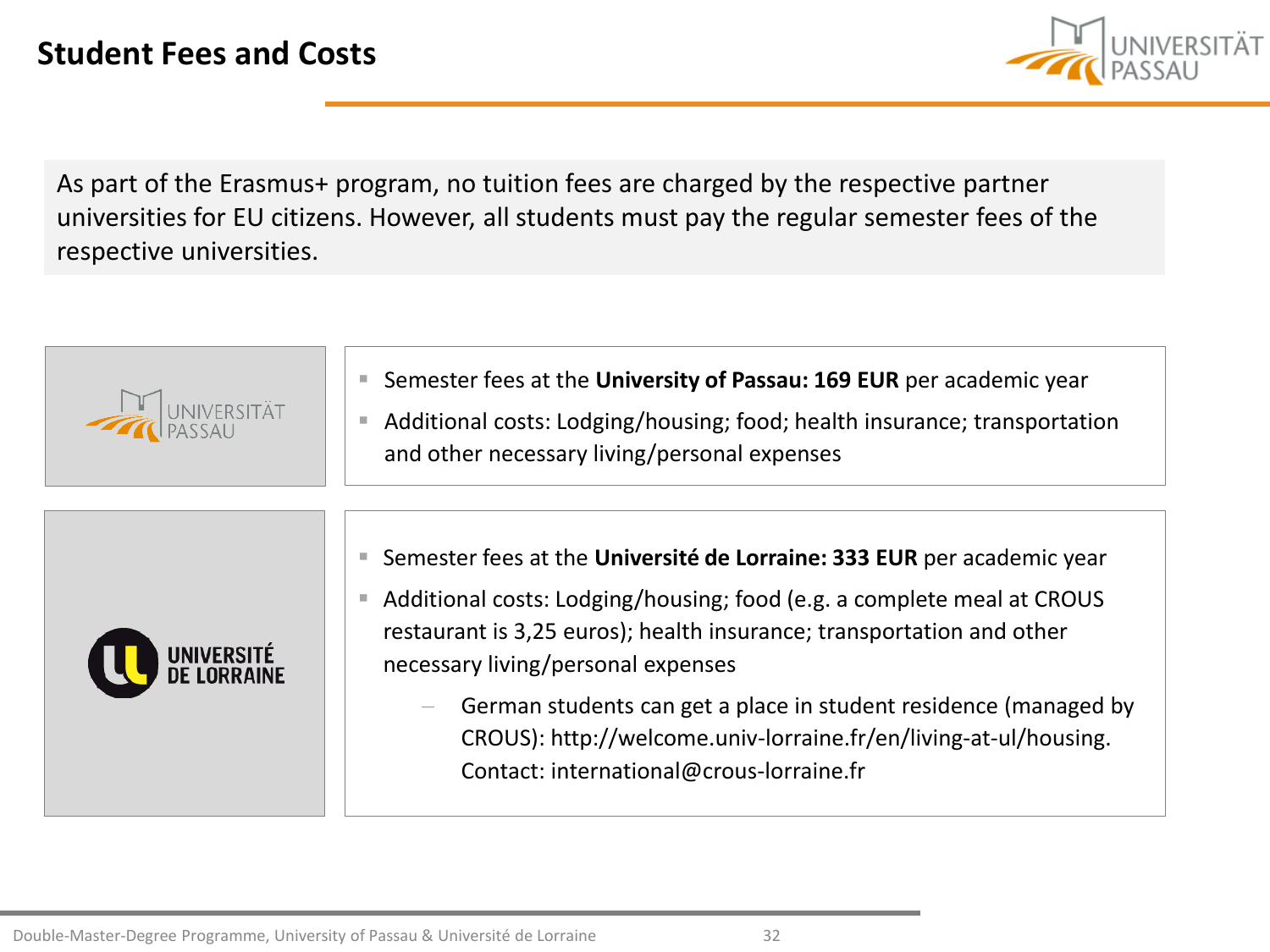

As part of the Erasmus+ program, no tuition fees are charged by the respective partner universities for EU citizens. However, all students must pay the regular semester fees of the respective universities.







German students can get a place in student residence (managed by CROUS): http://welcome.univ-lorraine.fr/en/living-at-ul/housing. Contact: international@crous-lorraine.fr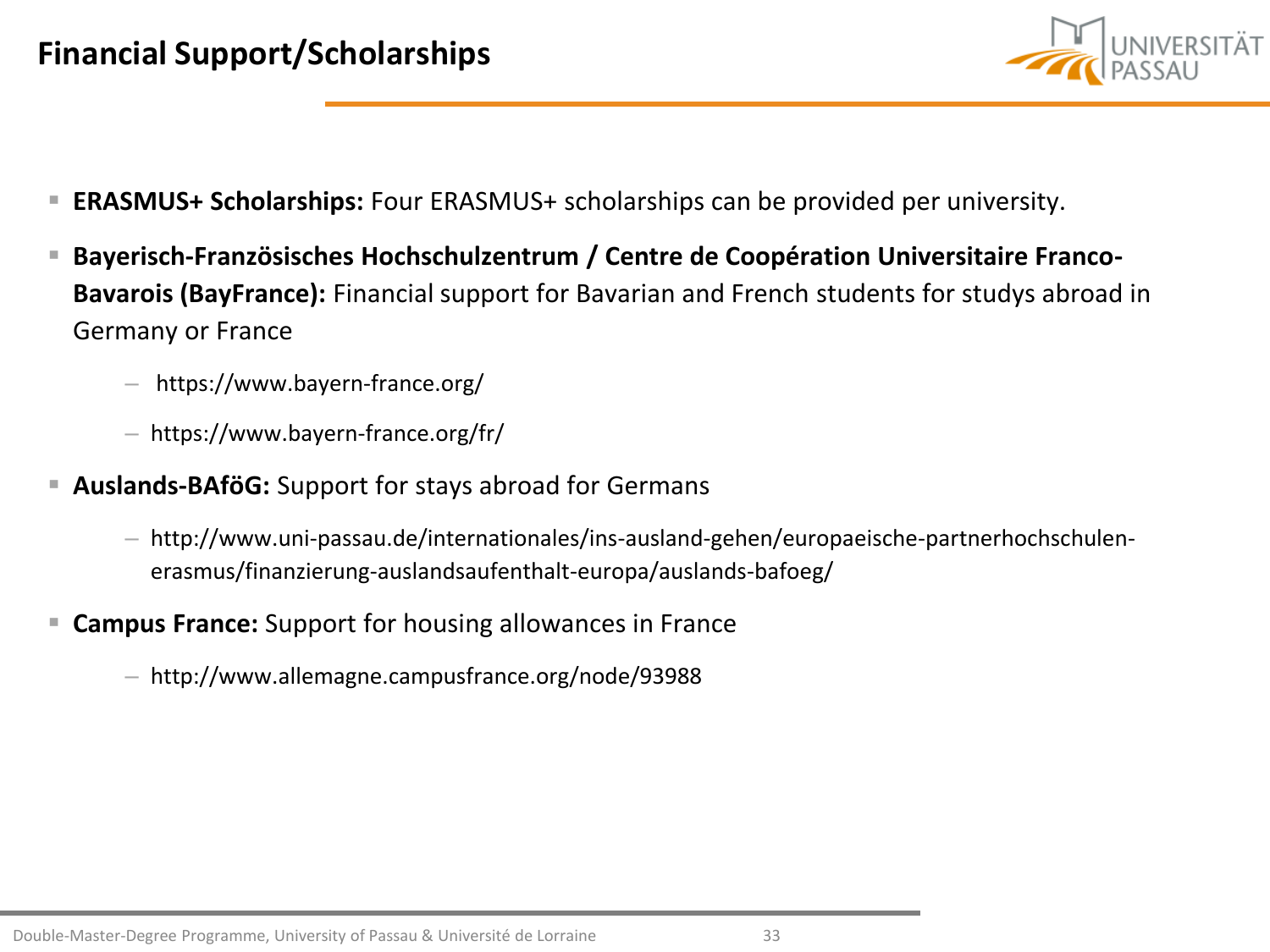

- **ERASMUS+ Scholarships:** Four ERASMUS+ scholarships can be provided per university.
- **Bayerisch-Französisches Hochschulzentrum / Centre de Coopération Universitaire Franco-Bavarois (BayFrance):** Financial support for Bavarian and French students for studys abroad in Germany or France
	- https://www.bayern-france.org/
	- https://www.bayern-france.org/fr/
- **Auslands-BAföG:** Support for stays abroad for Germans
	- http://www.uni-passau.de/internationales/ins-ausland-gehen/europaeische-partnerhochschulenerasmus/finanzierung-auslandsaufenthalt-europa/auslands-bafoeg/
- **Campus France:** Support for housing allowances in France
	- http://www.allemagne.campusfrance.org/node/93988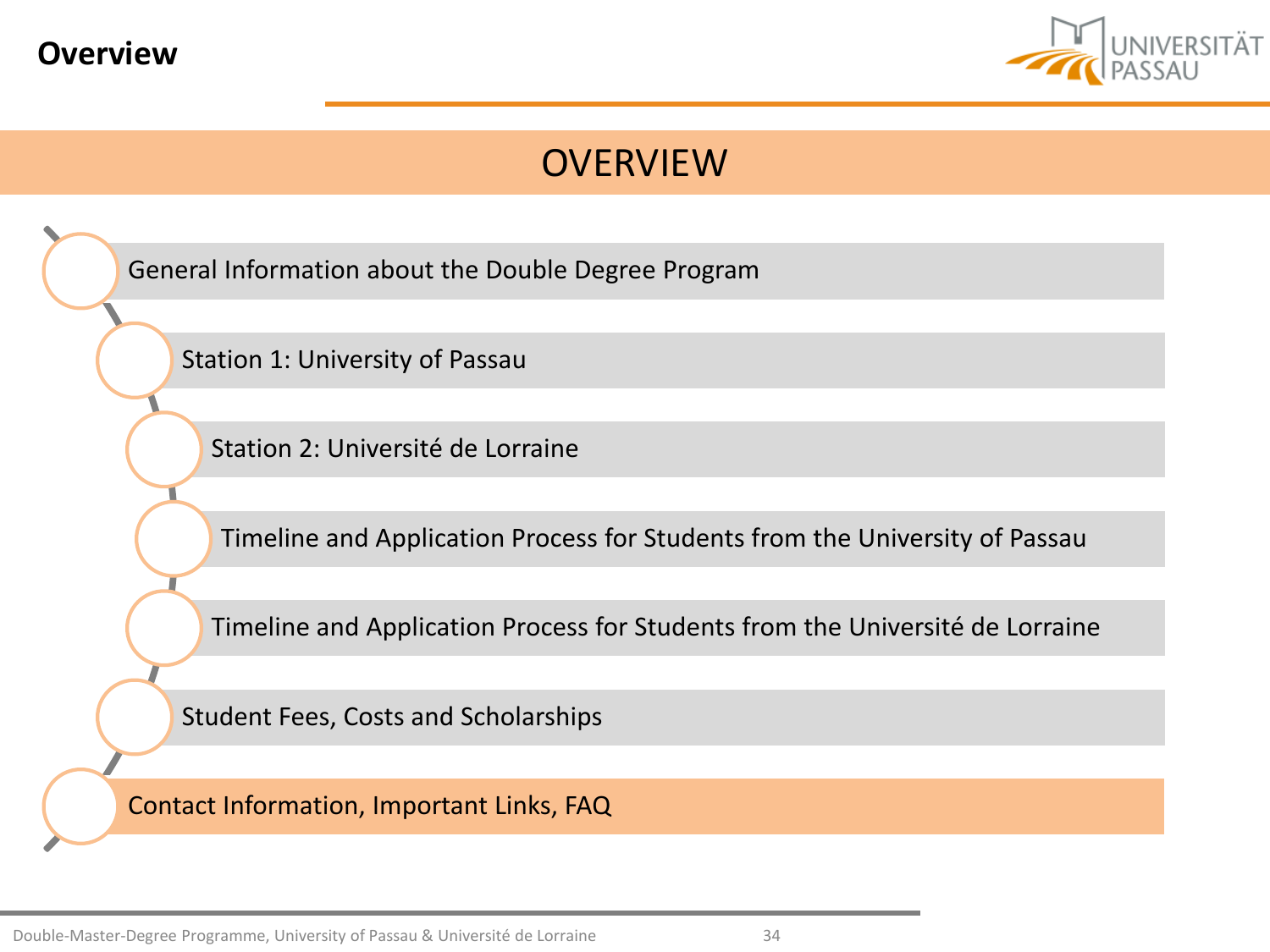<span id="page-33-0"></span>



[General Information about](#page-2-0) the Double Degree Program

[Station 1: University of](#page-6-0) Passau

[Station 2: Université](#page-12-0) de Lorraine

[Timeline and](#page-21-0) Application Process for Students from the University of Passau

[Timeline and](#page-27-0) Application Process for Students from the Université de Lorraine

[Student Fees, Costs](#page-30-0) and Scholarships

[Contact Information, Important](#page-33-0) Links, FAQ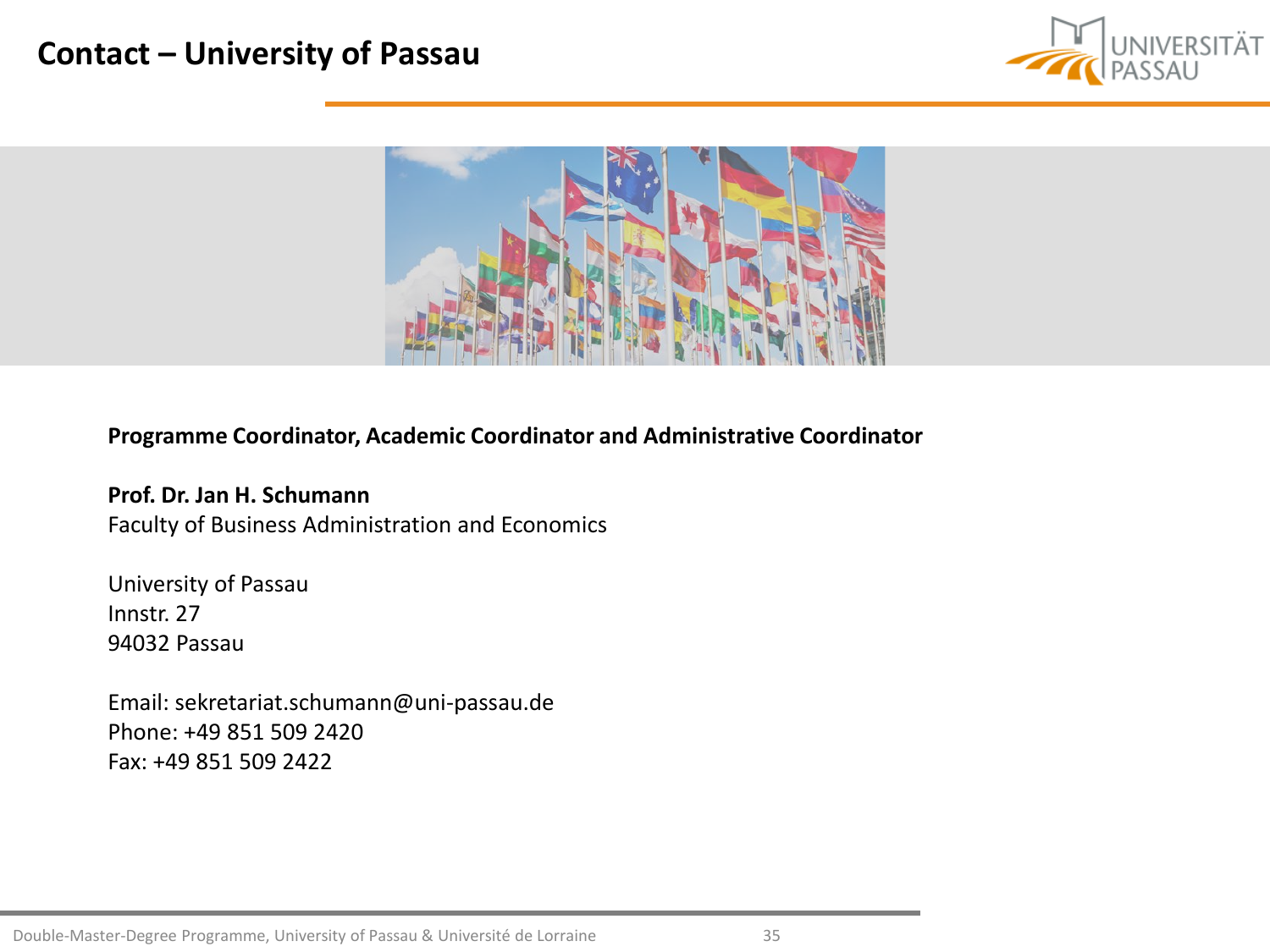### **Contact – University of Passau**





#### **Programme Coordinator, Academic Coordinator and Administrative Coordinator**

**Prof. Dr. Jan H. Schumann** Faculty of Business Administration and Economics

University of Passau Innstr. 27 94032 Passau

Email: sekretariat.schumann@uni-passau.de Phone: +49 851 509 2420 Fax: +49 851 509 2422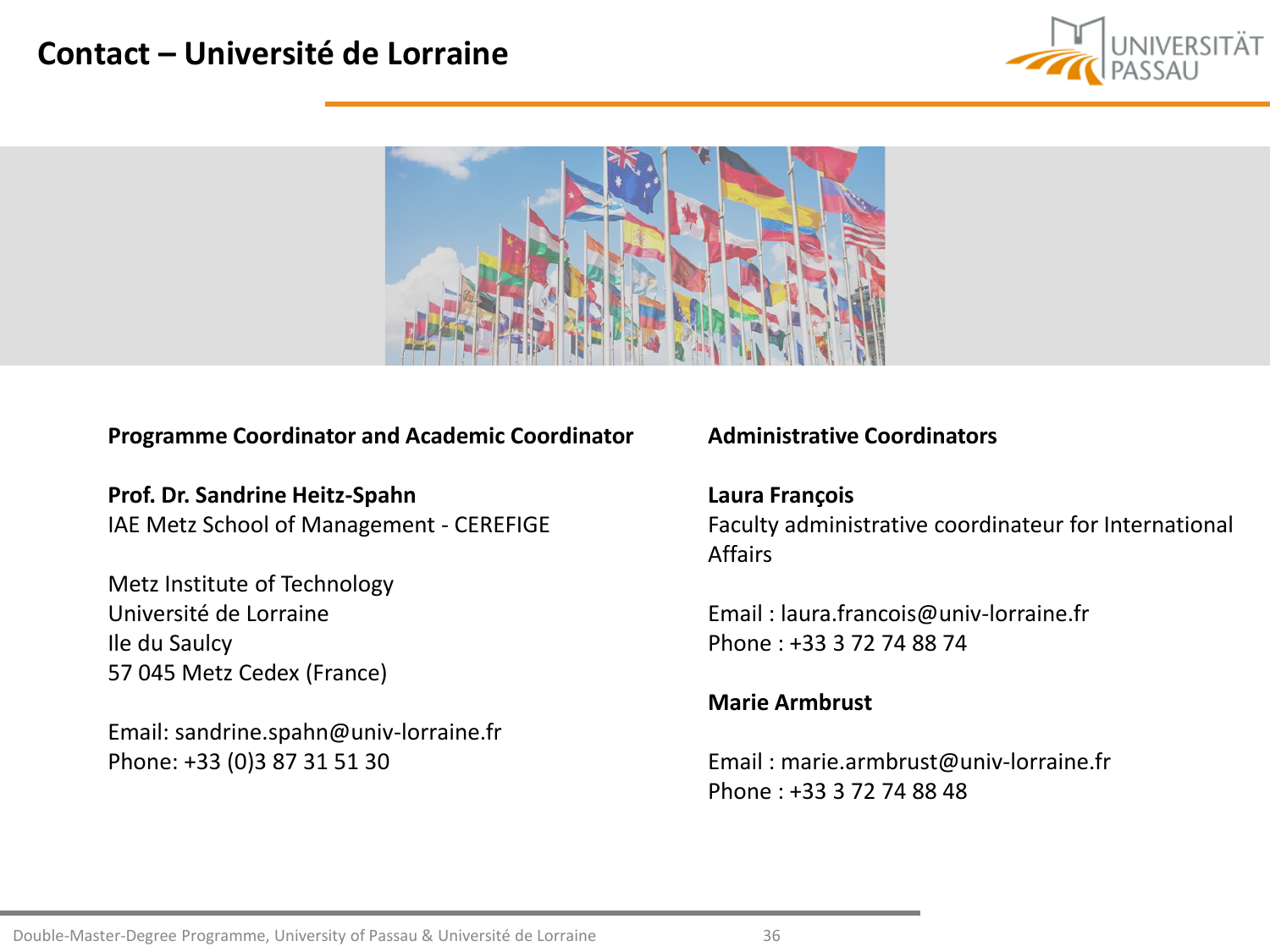### **Contact – Université de Lorraine**





#### **Programme Coordinator and Academic Coordinator**

**Prof. Dr. Sandrine Heitz-Spahn** IAE Metz School of Management - CEREFIGE

Metz Institute of Technology Université de Lorraine Ile du Saulcy 57 045 Metz Cedex (France)

Email: sandrine.spahn@univ-lorraine.fr Phone: +33 (0)3 87 31 51 30

#### **Administrative Coordinators**

#### **Laura François**

Faculty administrative coordinateur for International Affairs

Email : laura.francois@univ-lorraine.fr Phone : +33 3 72 74 88 74

#### **Marie Armbrust**

Email : marie.armbrust@univ-lorraine.fr Phone : +33 3 72 74 88 48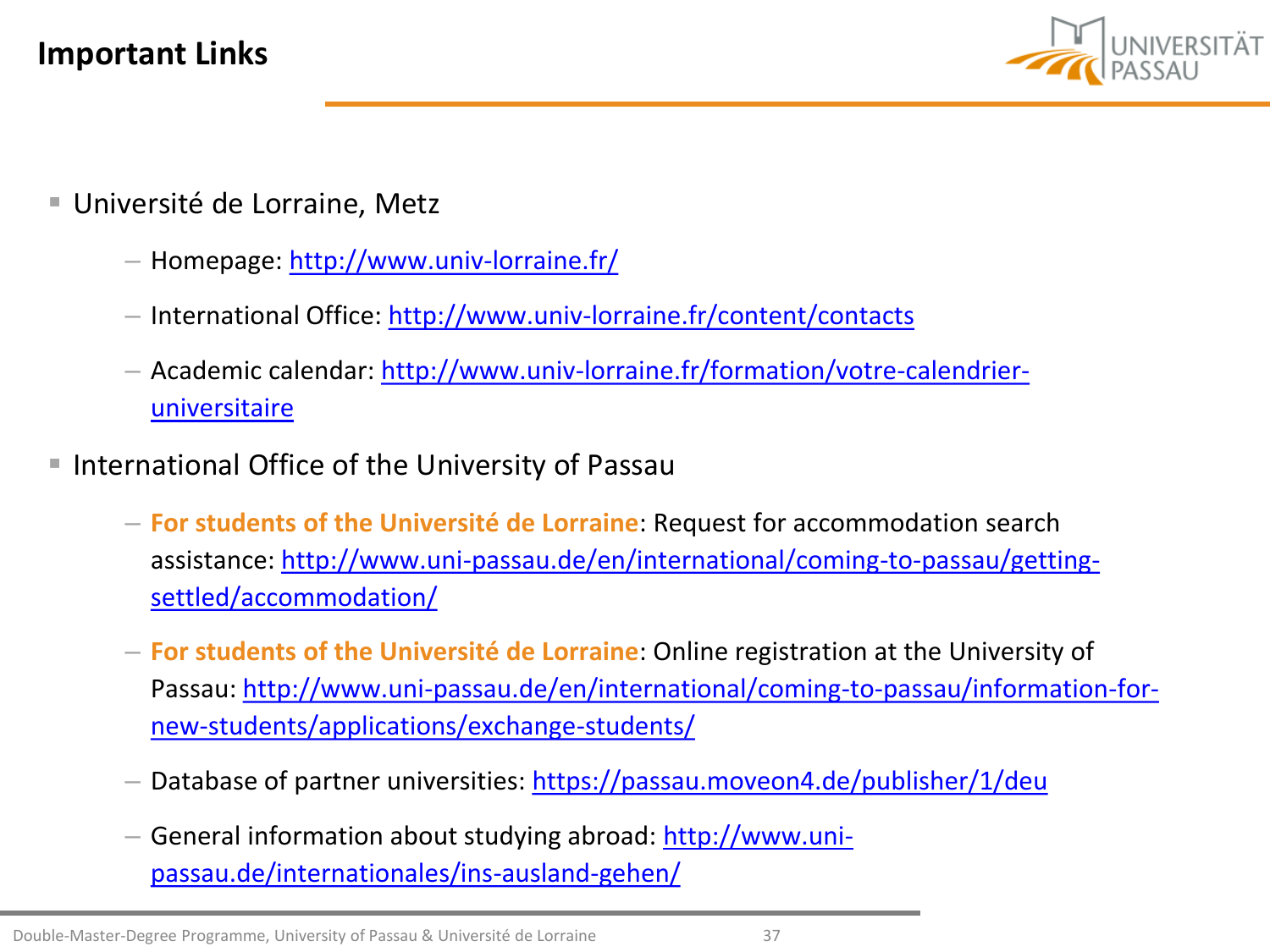

- Université de Lorraine, Metz
	- Homepage: <http://www.univ-lorraine.fr/>
	- International Office:<http://www.univ-lorraine.fr/content/contacts>
	- [Academic calendar: http://www.univ-lorraine.fr/formation/votre-calendrier](http://www.univ-lorraine.fr/formation/votre-calendrier-universitaire)universitaire
- International Office of the University of Passau
	- **For students of the Université de Lorraine**: Request for accommodation search [assistance: http://www.uni-passau.de/en/international/coming-to-passau/getting](http://www.uni-passau.de/en/international/coming-to-passau/getting-settled/accommodation/)settled/accommodation/
	- **For students of the Université de Lorraine**: Online registration at the University of [Passau: http://www.uni-passau.de/en/international/coming-to-passau/information-for](http://www.uni-passau.de/en/international/coming-to-passau/information-for-new-students/applications/exchange-students/)new-students/applications/exchange-students/
	- Database of partner universities: <https://passau.moveon4.de/publisher/1/deu>
	- [General information about studying abroad: http://www.uni](http://www.uni-passau.de/internationales/ins-ausland-gehen/)passau.de/internationales/ins-ausland-gehen/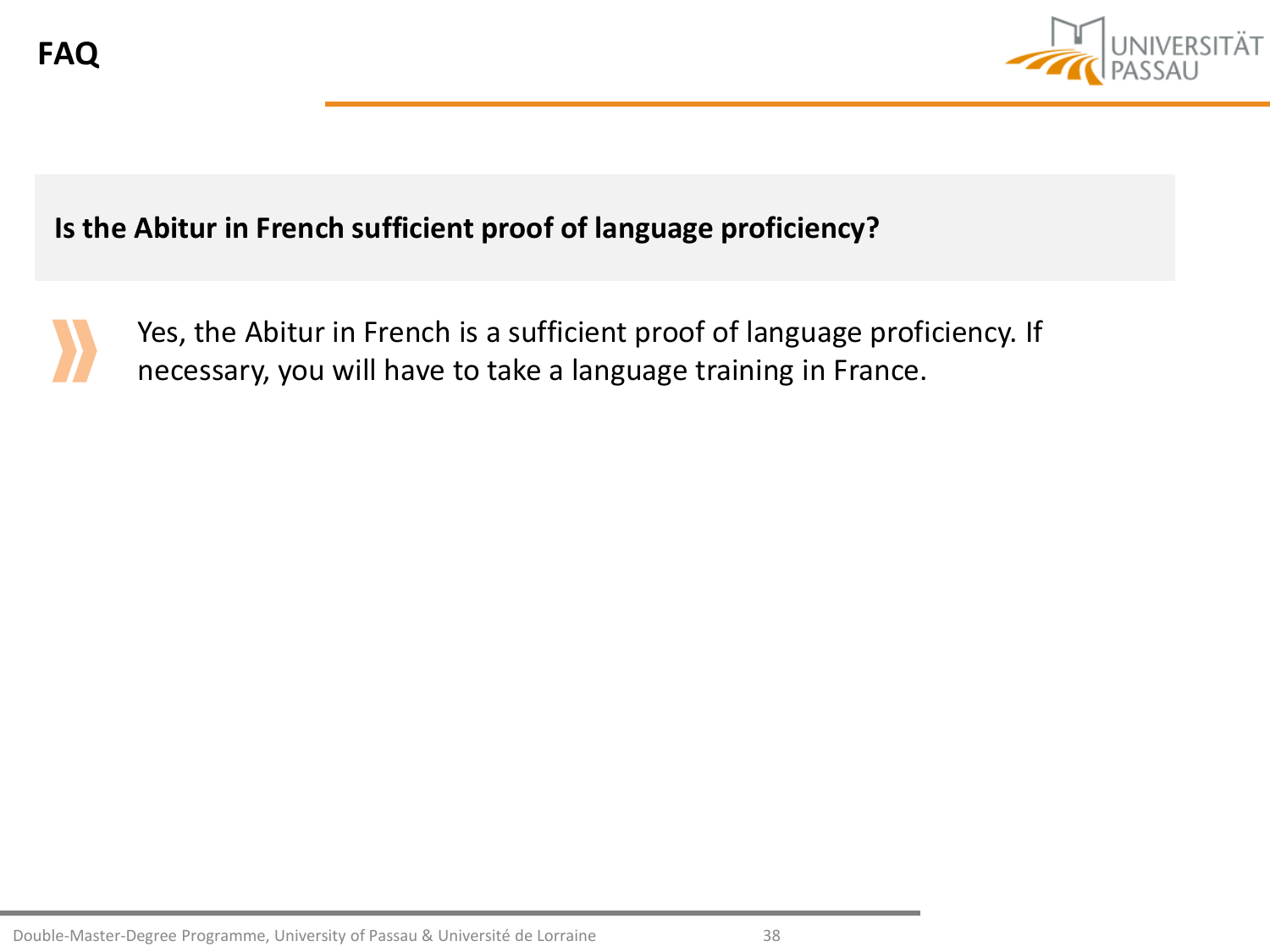

### **Is the Abitur in French sufficient proof of language proficiency?**



Yes, the Abitur in French is a sufficient proof of language proficiency. If necessary, you will have to take a language training in France.